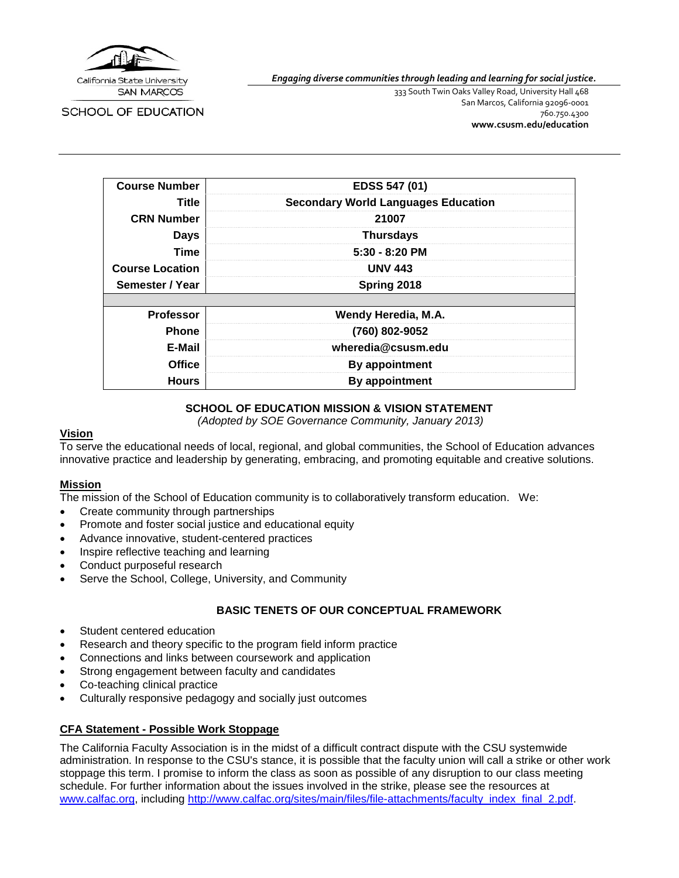

**SAN MARCOS** 

**SCHOOL OF EDUCATION** 

*Engaging diverse communities through leading and learning for social justice.*

333 South Twin Oaks Valley Road, University Hall 468 San Marcos, California 92096-0001 760.750.4300 **[www.csusm.edu/education](http://www.csusm.edu/education)**

| <b>Course Number</b>   | EDSS 547 (01)                              |
|------------------------|--------------------------------------------|
| <b>Title</b>           | <b>Secondary World Languages Education</b> |
|                        |                                            |
| <b>CRN Number</b>      | 21007                                      |
| <b>Days</b>            | <b>Thursdays</b>                           |
| <b>Time</b>            | $5:30 - 8:20$ PM                           |
| <b>Course Location</b> | <b>UNV 443</b>                             |
| Semester / Year        | Spring 2018                                |
|                        |                                            |
| <b>Professor</b>       | Wendy Heredia, M.A.                        |
| <b>Phone</b>           | (760) 802-9052                             |
| E-Mail                 | wheredia@csusm.edu                         |
| <b>Office</b>          | <b>By appointment</b>                      |
| <b>Hours</b>           | By appointment                             |

# **SCHOOL OF EDUCATION MISSION & VISION STATEMENT**

*(Adopted by SOE Governance Community, January 2013)*

#### **Vision**

To serve the educational needs of local, regional, and global communities, the School of Education advances innovative practice and leadership by generating, embracing, and promoting equitable and creative solutions.

### **Mission**

The mission of the School of Education community is to collaboratively transform education. We:

- Create community through partnerships
- Promote and foster social justice and educational equity
- Advance innovative, student-centered practices
- Inspire reflective teaching and learning
- Conduct purposeful research
- Serve the School, College, University, and Community

### **BASIC TENETS OF OUR CONCEPTUAL FRAMEWORK**

- Student centered education
- Research and theory specific to the program field inform practice
- Connections and links between coursework and application
- Strong engagement between faculty and candidates
- Co-teaching clinical practice
- Culturally responsive pedagogy and socially just outcomes

### **CFA Statement - Possible Work Stoppage**

The California Faculty Association is in the midst of a difficult contract dispute with the CSU systemwide administration. In response to the CSU's stance, it is possible that the faculty union will call a strike or other work stoppage this term. I promise to inform the class as soon as possible of any disruption to our class meeting schedule. For further information about the issues involved in the strike, please see the resources at [www.calfac.org,](http://www.calfac.org/) including [http://www.calfac.org/sites/main/files/file-attachments/faculty\\_index\\_final\\_2.pdf.](http://www.calfac.org/sites/main/files/file-attachments/faculty_index_final_2.pdf)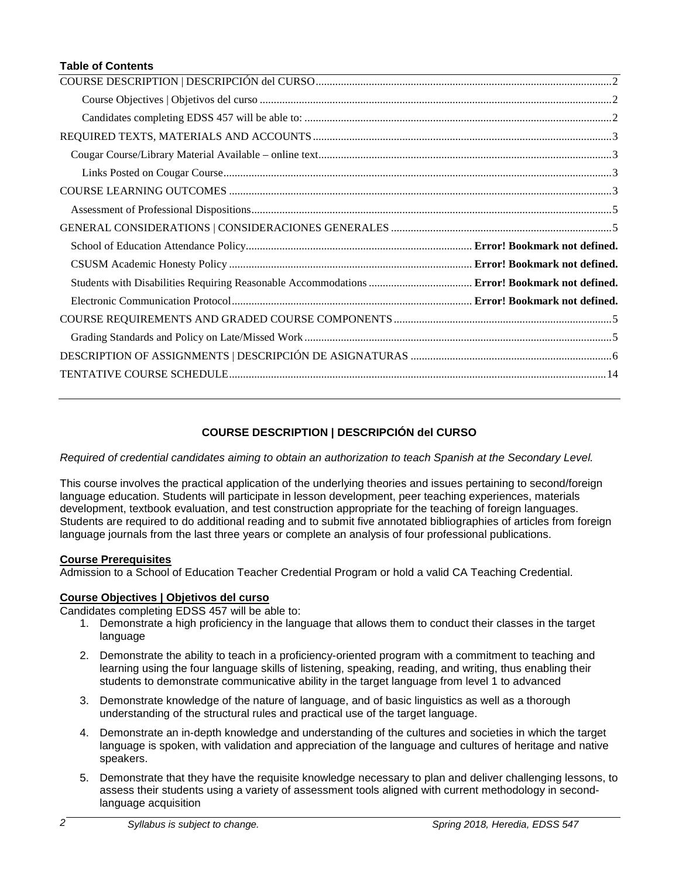#### **Table of Contents**

### **COURSE DESCRIPTION | DESCRIPCIÓN del CURSO**

<span id="page-1-0"></span>*Required of credential candidates aiming to obtain an authorization to teach Spanish at the Secondary Level.*

This course involves the practical application of the underlying theories and issues pertaining to second/foreign language education. Students will participate in lesson development, peer teaching experiences, materials development, textbook evaluation, and test construction appropriate for the teaching of foreign languages. Students are required to do additional reading and to submit five annotated bibliographies of articles from foreign language journals from the last three years or complete an analysis of four professional publications.

### **Course Prerequisites**

Admission to a School of Education Teacher Credential Program or hold a valid CA Teaching Credential.

### <span id="page-1-1"></span>**Course Objectives | Objetivos del curso**

<span id="page-1-2"></span>Candidates completing EDSS 457 will be able to:

- 1. Demonstrate a high proficiency in the language that allows them to conduct their classes in the target language
- 2. Demonstrate the ability to teach in a proficiency-oriented program with a commitment to teaching and learning using the four language skills of listening, speaking, reading, and writing, thus enabling their students to demonstrate communicative ability in the target language from level 1 to advanced
- 3. Demonstrate knowledge of the nature of language, and of basic linguistics as well as a thorough understanding of the structural rules and practical use of the target language.
- 4. Demonstrate an in-depth knowledge and understanding of the cultures and societies in which the target language is spoken, with validation and appreciation of the language and cultures of heritage and native speakers.
- 5. Demonstrate that they have the requisite knowledge necessary to plan and deliver challenging lessons, to assess their students using a variety of assessment tools aligned with current methodology in secondlanguage acquisition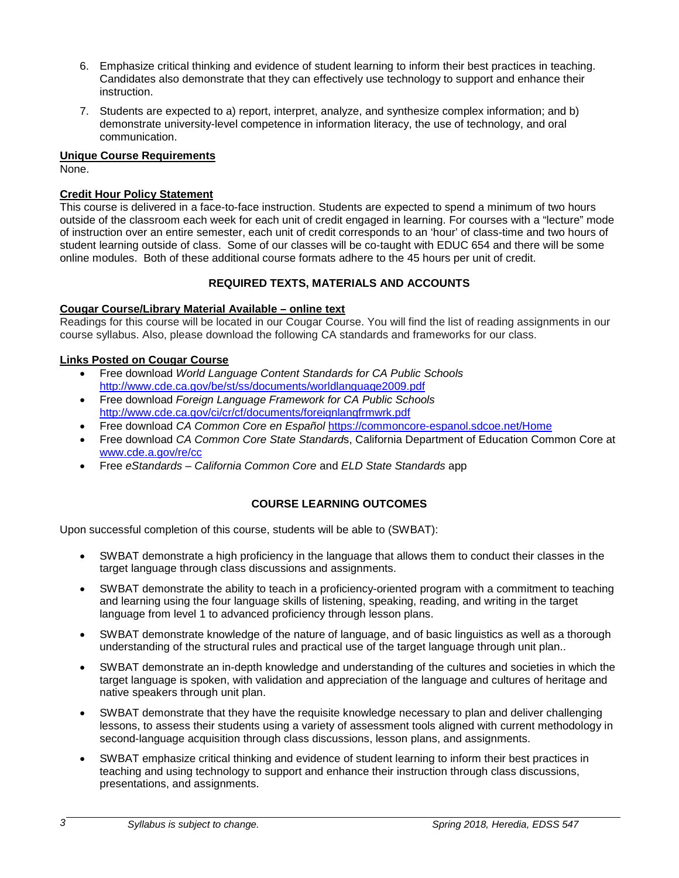- 6. Emphasize critical thinking and evidence of student learning to inform their best practices in teaching. Candidates also demonstrate that they can effectively use technology to support and enhance their instruction.
- 7. Students are expected to a) report, interpret, analyze, and synthesize complex information; and b) demonstrate university-level competence in information literacy, the use of technology, and oral communication.

### **Unique Course Requirements**

None.

# **Credit Hour Policy Statement**

This course is delivered in a face-to-face instruction. Students are expected to spend a minimum of two hours outside of the classroom each week for each unit of credit engaged in learning. For courses with a "lecture" mode of instruction over an entire semester, each unit of credit corresponds to an 'hour' of class-time and two hours of student learning outside of class. Some of our classes will be co-taught with EDUC 654 and there will be some online modules. Both of these additional course formats adhere to the 45 hours per unit of credit.

# **REQUIRED TEXTS, MATERIALS AND ACCOUNTS**

# <span id="page-2-1"></span><span id="page-2-0"></span>**Cougar Course/Library Material Available – online text**

Readings for this course will be located in our Cougar Course. You will find the list of reading assignments in our course syllabus. Also, please download the following CA standards and frameworks for our class.

# <span id="page-2-2"></span>**Links Posted on Cougar Course**

- Free download *World Language Content Standards for CA Public Schools* <http://www.cde.ca.gov/be/st/ss/documents/worldlanguage2009.pdf>
- Free download *Foreign Language Framework for CA Public Schools* <http://www.cde.ca.gov/ci/cr/cf/documents/foreignlangfrmwrk.pdf>
- Free download *CA Common Core en Español* <https://commoncore-espanol.sdcoe.net/Home>
- Free download *CA Common Core State Standard*s, California Department of Education Common Core at [www.cde.a.gov/re/cc](http://www.cde.a.gov/re/cc)
- Free *eStandards California Common Core* and *ELD State Standards* app

# **COURSE LEARNING OUTCOMES**

<span id="page-2-3"></span>Upon successful completion of this course, students will be able to (SWBAT):

- SWBAT demonstrate a high proficiency in the language that allows them to conduct their classes in the target language through class discussions and assignments.
- SWBAT demonstrate the ability to teach in a proficiency-oriented program with a commitment to teaching and learning using the four language skills of listening, speaking, reading, and writing in the target language from level 1 to advanced proficiency through lesson plans.
- SWBAT demonstrate knowledge of the nature of language, and of basic linguistics as well as a thorough understanding of the structural rules and practical use of the target language through unit plan..
- SWBAT demonstrate an in-depth knowledge and understanding of the cultures and societies in which the target language is spoken, with validation and appreciation of the language and cultures of heritage and native speakers through unit plan.
- SWBAT demonstrate that they have the requisite knowledge necessary to plan and deliver challenging lessons, to assess their students using a variety of assessment tools aligned with current methodology in second-language acquisition through class discussions, lesson plans, and assignments.
- SWBAT emphasize critical thinking and evidence of student learning to inform their best practices in teaching and using technology to support and enhance their instruction through class discussions, presentations, and assignments.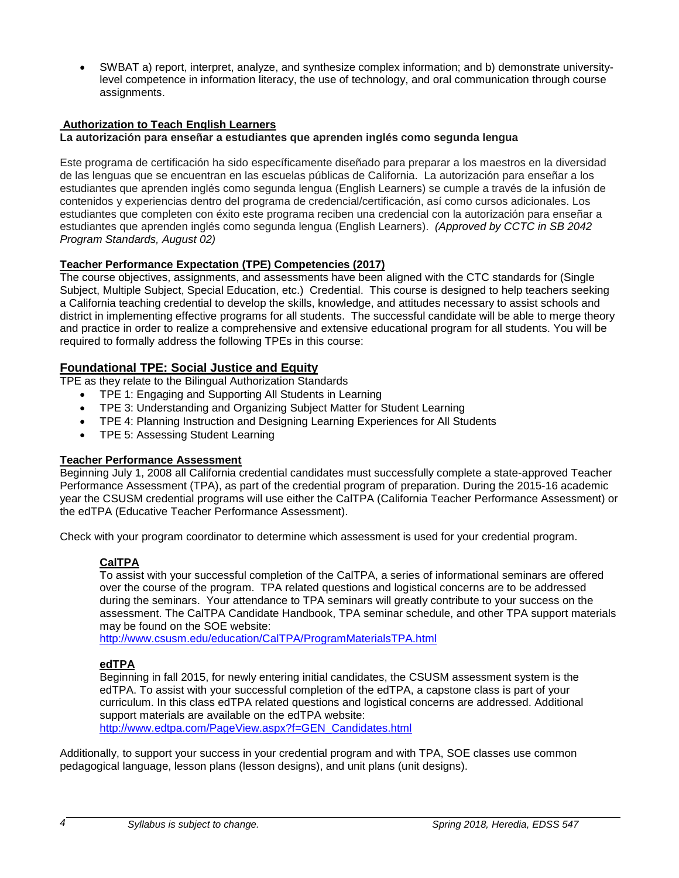• SWBAT a) report, interpret, analyze, and synthesize complex information; and b) demonstrate universitylevel competence in information literacy, the use of technology, and oral communication through course assignments.

# **Authorization to Teach English Learners**

#### **La autorización para enseñar a estudiantes que aprenden inglés como segunda lengua**

Este programa de certificación ha sido específicamente diseñado para preparar a los maestros en la diversidad de las lenguas que se encuentran en las escuelas públicas de California. La autorización para enseñar a los estudiantes que aprenden inglés como segunda lengua (English Learners) se cumple a través de la infusión de contenidos y experiencias dentro del programa de credencial/certificación, así como cursos adicionales. Los estudiantes que completen con éxito este programa reciben una credencial con la autorización para enseñar a estudiantes que aprenden inglés como segunda lengua (English Learners). *(Approved by CCTC in SB 2042 Program Standards, August 02)*

### **Teacher Performance Expectation (TPE) Competencies (2017)**

The course objectives, assignments, and assessments have been aligned with the CTC standards for (Single Subject, Multiple Subject, Special Education, etc.) Credential. This course is designed to help teachers seeking a California teaching credential to develop the skills, knowledge, and attitudes necessary to assist schools and district in implementing effective programs for all students. The successful candidate will be able to merge theory and practice in order to realize a comprehensive and extensive educational program for all students. You will be required to formally address the following TPEs in this course:

### **Foundational TPE: Social Justice and Equity**

TPE as they relate to the Bilingual Authorization Standards

- TPE 1: Engaging and Supporting All Students in Learning
- TPE 3: Understanding and Organizing Subject Matter for Student Learning
- TPE 4: Planning Instruction and Designing Learning Experiences for All Students
- TPE 5: Assessing Student Learning

# **Teacher Performance Assessment**

Beginning July 1, 2008 all California credential candidates must successfully complete a state-approved Teacher Performance Assessment (TPA), as part of the credential program of preparation. During the 2015-16 academic year the CSUSM credential programs will use either the CalTPA (California Teacher Performance Assessment) or the edTPA (Educative Teacher Performance Assessment).

Check with your program coordinator to determine which assessment is used for your credential program.

### **CalTPA**

To assist with your successful completion of the CalTPA, a series of informational seminars are offered over the course of the program. TPA related questions and logistical concerns are to be addressed during the seminars. Your attendance to TPA seminars will greatly contribute to your success on the assessment. The CalTPA Candidate Handbook, TPA seminar schedule, and other TPA support materials may be found on the SOE website:

<http://www.csusm.edu/education/CalTPA/ProgramMaterialsTPA.html>

### **edTPA**

Beginning in fall 2015, for newly entering initial candidates, the CSUSM assessment system is the edTPA. To assist with your successful completion of the edTPA, a capstone class is part of your curriculum. In this class edTPA related questions and logistical concerns are addressed. Additional support materials are available on the edTPA website:

[http://www.edtpa.com/PageView.aspx?f=GEN\\_Candidates.html](http://www.edtpa.com/PageView.aspx?f=GEN_Candidates.html)

Additionally, to support your success in your credential program and with TPA, SOE classes use common pedagogical language, lesson plans (lesson designs), and unit plans (unit designs).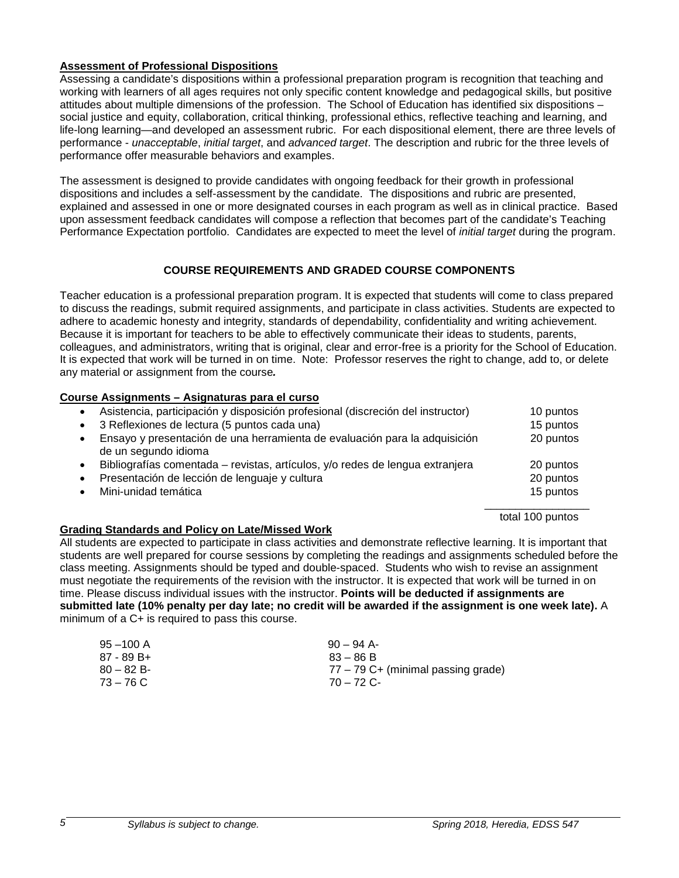#### <span id="page-4-0"></span>**Assessment of Professional Dispositions**

Assessing a candidate's dispositions within a professional preparation program is recognition that teaching and working with learners of all ages requires not only specific content knowledge and pedagogical skills, but positive attitudes about multiple dimensions of the profession. The School of Education has identified six dispositions – social justice and equity, collaboration, critical thinking, professional ethics, reflective teaching and learning, and life-long learning—and developed an assessment rubric. For each dispositional element, there are three levels of performance - *unacceptable*, *initial target*, and *advanced target*. The description and rubric for the three levels of performance offer measurable behaviors and examples.

The assessment is designed to provide candidates with ongoing feedback for their growth in professional dispositions and includes a self-assessment by the candidate. The dispositions and rubric are presented, explained and assessed in one or more designated courses in each program as well as in clinical practice. Based upon assessment feedback candidates will compose a reflection that becomes part of the candidate's Teaching Performance Expectation portfolio. Candidates are expected to meet the level of *initial target* during the program.

### **COURSE REQUIREMENTS AND GRADED COURSE COMPONENTS**

<span id="page-4-2"></span><span id="page-4-1"></span>Teacher education is a professional preparation program. It is expected that students will come to class prepared to discuss the readings, submit required assignments, and participate in class activities. Students are expected to adhere to academic honesty and integrity, standards of dependability, confidentiality and writing achievement. Because it is important for teachers to be able to effectively communicate their ideas to students, parents, colleagues, and administrators, writing that is original, clear and error-free is a priority for the School of Education. It is expected that work will be turned in on time. Note: Professor reserves the right to change, add to, or delete any material or assignment from the course*.*

#### **Course Assignments – Asignaturas para el curso**

| $\bullet$ | Asistencia, participación y disposición profesional (discreción del instructor)                    | 10 puntos |
|-----------|----------------------------------------------------------------------------------------------------|-----------|
| $\bullet$ | 3 Reflexiones de lectura (5 puntos cada una)                                                       | 15 puntos |
| $\bullet$ | Ensayo y presentación de una herramienta de evaluación para la adquisición<br>de un segundo idioma | 20 puntos |
| $\bullet$ | Bibliografías comentada – revistas, artículos, y/o redes de lengua extranjera                      | 20 puntos |
| $\bullet$ | Presentación de lección de lenguaje y cultura                                                      | 20 puntos |
| $\bullet$ | Mini-unidad temática                                                                               | 15 puntos |
|           |                                                                                                    |           |

total 100 puntos

### <span id="page-4-3"></span>**Grading Standards and Policy on Late/Missed Work**

All students are expected to participate in class activities and demonstrate reflective learning. It is important that students are well prepared for course sessions by completing the readings and assignments scheduled before the class meeting. Assignments should be typed and double-spaced. Students who wish to revise an assignment must negotiate the requirements of the revision with the instructor. It is expected that work will be turned in on time. Please discuss individual issues with the instructor. **Points will be deducted if assignments are submitted late (10% penalty per day late; no credit will be awarded if the assignment is one week late).** A minimum of a C+ is required to pass this course.

<span id="page-4-4"></span>

| $95 - 100$ A | $90 - 94$ A-                         |
|--------------|--------------------------------------|
| 87 - 89 B+   | $83 - 86 B$                          |
| $80 - 82 B$  | $77 - 79$ C+ (minimal passing grade) |
| 73 – 76 C    | $70 - 72$ C-                         |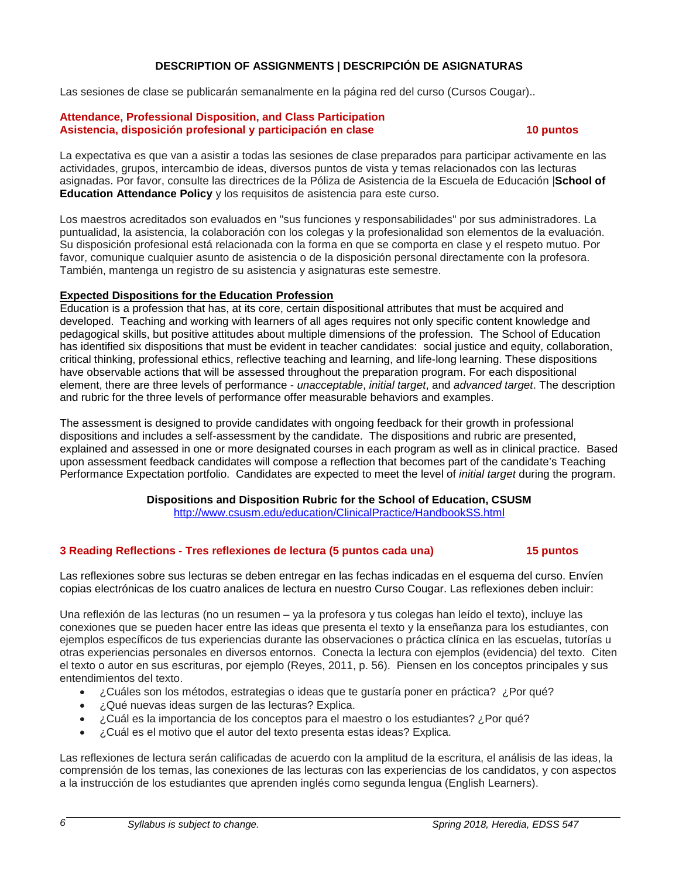# **DESCRIPTION OF ASSIGNMENTS | DESCRIPCIÓN DE ASIGNATURAS**

Las sesiones de clase se publicarán semanalmente en la página red del curso (Cursos Cougar)..

#### **Attendance, Professional Disposition, and Class Participation Asistencia, disposición profesional y participación en clase 10 puntos**

La expectativa es que van a asistir a todas las sesiones de clase preparados para participar activamente en las actividades, grupos, intercambio de ideas, diversos puntos de vista y temas relacionados con las lecturas asignadas. Por favor, consulte las directrices de la Póliza de Asistencia de la Escuela de Educación |**School of Education Attendance Policy** y los requisitos de asistencia para este curso.

Los maestros acreditados son evaluados en "sus funciones y responsabilidades" por sus administradores. La puntualidad, la asistencia, la colaboración con los colegas y la profesionalidad son elementos de la evaluación. Su disposición profesional está relacionada con la forma en que se comporta en clase y el respeto mutuo. Por favor, comunique cualquier asunto de asistencia o de la disposición personal directamente con la profesora. También, mantenga un registro de su asistencia y asignaturas este semestre.

### **Expected Dispositions for the Education Profession**

Education is a profession that has, at its core, certain dispositional attributes that must be acquired and developed. Teaching and working with learners of all ages requires not only specific content knowledge and pedagogical skills, but positive attitudes about multiple dimensions of the profession. The School of Education has identified six dispositions that must be evident in teacher candidates: social justice and equity, collaboration, critical thinking, professional ethics, reflective teaching and learning, and life-long learning. These dispositions have observable actions that will be assessed throughout the preparation program. For each dispositional element, there are three levels of performance - *unacceptable*, *initial target*, and *advanced target*. The description and rubric for the three levels of performance offer measurable behaviors and examples.

The assessment is designed to provide candidates with ongoing feedback for their growth in professional dispositions and includes a self-assessment by the candidate. The dispositions and rubric are presented, explained and assessed in one or more designated courses in each program as well as in clinical practice. Based upon assessment feedback candidates will compose a reflection that becomes part of the candidate's Teaching Performance Expectation portfolio. Candidates are expected to meet the level of *initial target* during the program.

# **Dispositions and Disposition Rubric for the School of Education, CSUSM**

<http://www.csusm.edu/education/ClinicalPractice/HandbookSS.html>

### **3 Reading Reflections - Tres reflexiones de lectura (5 puntos cada una) 15 puntos**

Las reflexiones sobre sus lecturas se deben entregar en las fechas indicadas en el esquema del curso. Envíen copias electrónicas de los cuatro analices de lectura en nuestro Curso Cougar. Las reflexiones deben incluir:

Una reflexión de las lecturas (no un resumen – ya la profesora y tus colegas han leído el texto), incluye las conexiones que se pueden hacer entre las ideas que presenta el texto y la enseñanza para los estudiantes, con ejemplos específicos de tus experiencias durante las observaciones o práctica clínica en las escuelas, tutorías u otras experiencias personales en diversos entornos. Conecta la lectura con ejemplos (evidencia) del texto. Citen el texto o autor en sus escrituras, por ejemplo (Reyes, 2011, p. 56). Piensen en los conceptos principales y sus entendimientos del texto.

- ¿Cuáles son los métodos, estrategias o ideas que te gustaría poner en práctica? ¿Por qué?
- ¿Qué nuevas ideas surgen de las lecturas? Explica.
- ¿Cuál es la importancia de los conceptos para el maestro o los estudiantes? ¿Por qué?
- ¿Cuál es el motivo que el autor del texto presenta estas ideas? Explica.

Las reflexiones de lectura serán calificadas de acuerdo con la amplitud de la escritura, el análisis de las ideas, la comprensión de los temas, las conexiones de las lecturas con las experiencias de los candidatos, y con aspectos a la instrucción de los estudiantes que aprenden inglés como segunda lengua (English Learners).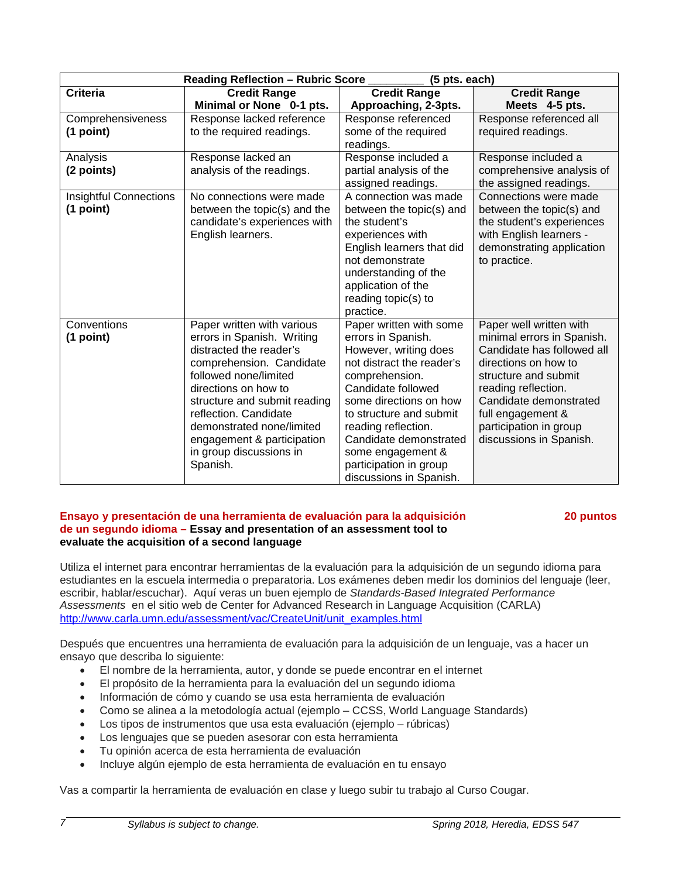| $(5$ pts. each)<br><b>Reading Reflection - Rubric Score</b> |                                                                                                                                                                                                                                                                                                                             |                                                                                                                                                                                                                                                                                                                             |                                                                                                                                                                                                                                                                |
|-------------------------------------------------------------|-----------------------------------------------------------------------------------------------------------------------------------------------------------------------------------------------------------------------------------------------------------------------------------------------------------------------------|-----------------------------------------------------------------------------------------------------------------------------------------------------------------------------------------------------------------------------------------------------------------------------------------------------------------------------|----------------------------------------------------------------------------------------------------------------------------------------------------------------------------------------------------------------------------------------------------------------|
| <b>Criteria</b>                                             | <b>Credit Range</b>                                                                                                                                                                                                                                                                                                         | <b>Credit Range</b>                                                                                                                                                                                                                                                                                                         | <b>Credit Range</b>                                                                                                                                                                                                                                            |
|                                                             | Minimal or None 0-1 pts.                                                                                                                                                                                                                                                                                                    | Approaching, 2-3pts.                                                                                                                                                                                                                                                                                                        | Meets 4-5 pts.                                                                                                                                                                                                                                                 |
| Comprehensiveness                                           | Response lacked reference                                                                                                                                                                                                                                                                                                   | Response referenced                                                                                                                                                                                                                                                                                                         | Response referenced all                                                                                                                                                                                                                                        |
| (1 point)                                                   | to the required readings.                                                                                                                                                                                                                                                                                                   | some of the required<br>readings.                                                                                                                                                                                                                                                                                           | required readings.                                                                                                                                                                                                                                             |
| Analysis<br>(2 points)                                      | Response lacked an<br>analysis of the readings.                                                                                                                                                                                                                                                                             | Response included a<br>partial analysis of the<br>assigned readings.                                                                                                                                                                                                                                                        | Response included a<br>comprehensive analysis of<br>the assigned readings.                                                                                                                                                                                     |
| <b>Insightful Connections</b><br>$(1$ point)                | No connections were made<br>between the topic(s) and the<br>candidate's experiences with<br>English learners.                                                                                                                                                                                                               | A connection was made<br>between the topic(s) and<br>the student's<br>experiences with<br>English learners that did<br>not demonstrate<br>understanding of the<br>application of the<br>reading topic(s) to<br>practice.                                                                                                    | Connections were made<br>between the topic(s) and<br>the student's experiences<br>with English learners -<br>demonstrating application<br>to practice.                                                                                                         |
| Conventions<br>$(1$ point)                                  | Paper written with various<br>errors in Spanish. Writing<br>distracted the reader's<br>comprehension. Candidate<br>followed none/limited<br>directions on how to<br>structure and submit reading<br>reflection. Candidate<br>demonstrated none/limited<br>engagement & participation<br>in group discussions in<br>Spanish. | Paper written with some<br>errors in Spanish.<br>However, writing does<br>not distract the reader's<br>comprehension.<br>Candidate followed<br>some directions on how<br>to structure and submit<br>reading reflection.<br>Candidate demonstrated<br>some engagement &<br>participation in group<br>discussions in Spanish. | Paper well written with<br>minimal errors in Spanish.<br>Candidate has followed all<br>directions on how to<br>structure and submit<br>reading reflection.<br>Candidate demonstrated<br>full engagement &<br>participation in group<br>discussions in Spanish. |

#### **Ensayo y presentación de una herramienta de evaluación para la adquisición 20 puntos de un segundo idioma – Essay and presentation of an assessment tool to evaluate the acquisition of a second language**

Utiliza el internet para encontrar herramientas de la evaluación para la adquisición de un segundo idioma para estudiantes en la escuela intermedia o preparatoria. Los exámenes deben medir los dominios del lenguaje (leer, escribir, hablar/escuchar). Aquí veras un buen ejemplo de *Standards-Based Integrated Performance Assessments* en el sitio web de Center for Advanced Research in Language Acquisition (CARLA) [http://www.carla.umn.edu/assessment/vac/CreateUnit/unit\\_examples.html](http://www.carla.umn.edu/assessment/vac/CreateUnit/unit_examples.html)

Después que encuentres una herramienta de evaluación para la adquisición de un lenguaje, vas a hacer un ensayo que describa lo siguiente:

- El nombre de la herramienta, autor, y donde se puede encontrar en el internet
- El propósito de la herramienta para la evaluación del un segundo idioma
- Información de cómo y cuando se usa esta herramienta de evaluación
- Como se alinea a la metodología actual (ejemplo CCSS, World Language Standards)
- Los tipos de instrumentos que usa esta evaluación (ejemplo rúbricas)
- Los lenguajes que se pueden asesorar con esta herramienta
- Tu opinión acerca de esta herramienta de evaluación
- Incluye algún ejemplo de esta herramienta de evaluación en tu ensayo

Vas a compartir la herramienta de evaluación en clase y luego subir tu trabajo al Curso Cougar.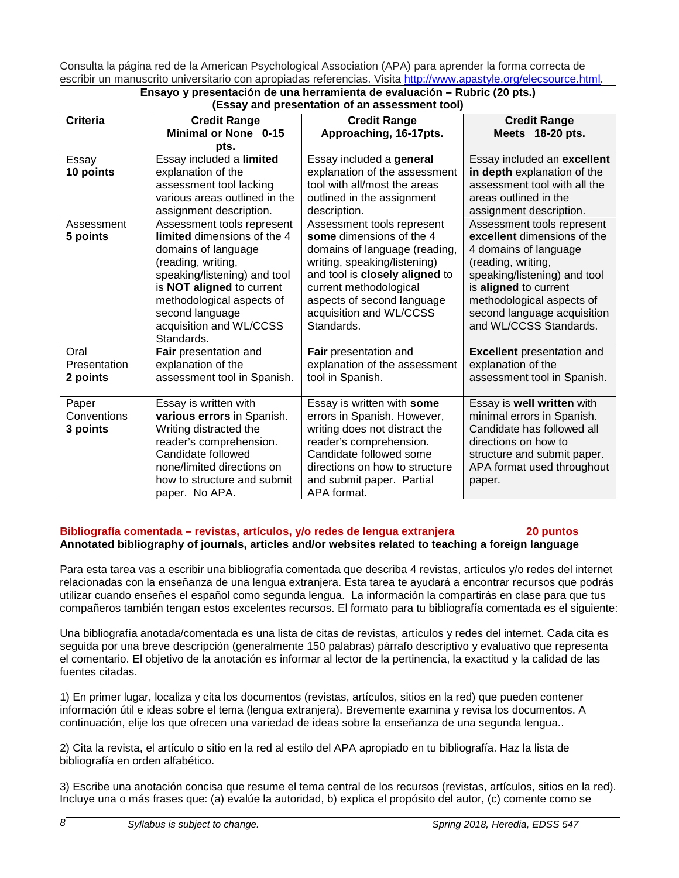Consulta la página red de la American Psychological Association (APA) para aprender la forma correcta de escribir un manuscrito universitario con apropiadas referencias. Visita [http://www.apastyle.org/elecsource.html.](http://www.apastyle.org/elecsource.html)

| Ensayo y presentación de una herramienta de evaluación - Rubric (20 pts.) |                               |                                |                                   |
|---------------------------------------------------------------------------|-------------------------------|--------------------------------|-----------------------------------|
| (Essay and presentation of an assessment tool)                            |                               |                                |                                   |
| <b>Criteria</b>                                                           | <b>Credit Range</b>           | <b>Credit Range</b>            | <b>Credit Range</b>               |
|                                                                           | <b>Minimal or None 0-15</b>   | Approaching, 16-17pts.         | Meets 18-20 pts.                  |
|                                                                           | pts.                          |                                |                                   |
| Essay                                                                     | Essay included a limited      | Essay included a general       | Essay included an excellent       |
| 10 points                                                                 | explanation of the            | explanation of the assessment  | in depth explanation of the       |
|                                                                           | assessment tool lacking       | tool with all/most the areas   | assessment tool with all the      |
|                                                                           | various areas outlined in the | outlined in the assignment     | areas outlined in the             |
|                                                                           | assignment description.       | description.                   | assignment description.           |
| Assessment                                                                | Assessment tools represent    | Assessment tools represent     | Assessment tools represent        |
| 5 points                                                                  | limited dimensions of the 4   | some dimensions of the 4       | excellent dimensions of the       |
|                                                                           | domains of language           | domains of language (reading,  | 4 domains of language             |
|                                                                           | (reading, writing,            | writing, speaking/listening)   | (reading, writing,                |
|                                                                           | speaking/listening) and tool  | and tool is closely aligned to | speaking/listening) and tool      |
|                                                                           | is NOT aligned to current     | current methodological         | is aligned to current             |
|                                                                           | methodological aspects of     | aspects of second language     | methodological aspects of         |
|                                                                           | second language               | acquisition and WL/CCSS        | second language acquisition       |
|                                                                           | acquisition and WL/CCSS       | Standards.                     | and WL/CCSS Standards.            |
|                                                                           | Standards.                    |                                |                                   |
| Oral                                                                      | Fair presentation and         | Fair presentation and          | <b>Excellent</b> presentation and |
| Presentation                                                              | explanation of the            | explanation of the assessment  | explanation of the                |
| 2 points                                                                  | assessment tool in Spanish.   | tool in Spanish.               | assessment tool in Spanish.       |
|                                                                           |                               |                                |                                   |
| Paper                                                                     | Essay is written with         | Essay is written with some     | Essay is well written with        |
| Conventions                                                               | various errors in Spanish.    | errors in Spanish. However,    | minimal errors in Spanish.        |
| 3 points                                                                  | Writing distracted the        | writing does not distract the  | Candidate has followed all        |
|                                                                           | reader's comprehension.       | reader's comprehension.        | directions on how to              |
|                                                                           | Candidate followed            | Candidate followed some        | structure and submit paper.       |
|                                                                           | none/limited directions on    | directions on how to structure | APA format used throughout        |
|                                                                           | how to structure and submit   | and submit paper. Partial      | paper.                            |
|                                                                           | paper. No APA.                | APA format.                    |                                   |

#### **Bibliografía comentada – revistas, artículos, y/o redes de lengua extranjera 20 puntos Annotated bibliography of journals, articles and/or websites related to teaching a foreign language**

Para esta tarea vas a escribir una bibliografía comentada que describa 4 revistas, artículos y/o redes del internet relacionadas con la enseñanza de una lengua extranjera. Esta tarea te ayudará a encontrar recursos que podrás utilizar cuando enseñes el español como segunda lengua. La información la compartirás en clase para que tus compañeros también tengan estos excelentes recursos. El formato para tu bibliografía comentada es el siguiente:

Una bibliografía anotada/comentada es una lista de citas de revistas, artículos y redes del internet. Cada cita es seguida por una breve descripción (generalmente 150 palabras) párrafo descriptivo y evaluativo que representa el comentario. El objetivo de la anotación es informar al lector de la pertinencia, la exactitud y la calidad de las fuentes citadas.

1) En primer lugar, localiza y cita los documentos (revistas, artículos, sitios en la red) que pueden contener información útil e ideas sobre el tema (lengua extranjera). Brevemente examina y revisa los documentos. A continuación, elije los que ofrecen una variedad de ideas sobre la enseñanza de una segunda lengua..

2) Cita la revista, el artículo o sitio en la red al estilo del APA apropiado en tu bibliografía. Haz la lista de bibliografía en orden alfabético.

3) Escribe una anotación concisa que resume el tema central de los recursos (revistas, artículos, sitios en la red). Incluye una o más frases que: (a) evalúe la autoridad, b) explica el propósito del autor, (c) comente como se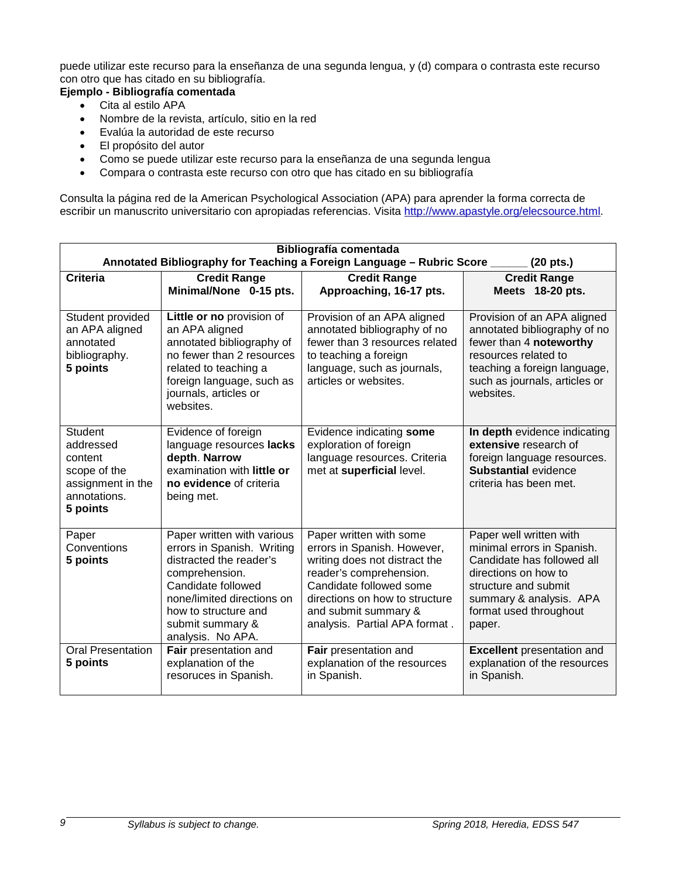puede utilizar este recurso para la enseñanza de una segunda lengua, y (d) compara o contrasta este recurso con otro que has citado en su bibliografía.

# **Ejemplo - Bibliografía comentada**

- Cita al estilo APA
- Nombre de la revista, artículo, sitio en la red
- Evalúa la autoridad de este recurso
- El propósito del autor
- Como se puede utilizar este recurso para la enseñanza de una segunda lengua
- Compara o contrasta este recurso con otro que has citado en su bibliografía

Consulta la página red de la American Psychological Association (APA) para aprender la forma correcta de escribir un manuscrito universitario con apropiadas referencias. Visita [http://www.apastyle.org/elecsource.html.](http://www.apastyle.org/elecsource.html)

| <b>Bibliografía comentada</b><br>Annotated Bibliography for Teaching a Foreign Language - Rubric Score _____ (20 pts.) |                                                                                                                                                                                                                            |                                                                                                                                                                                                                                          |                                                                                                                                                                                                    |
|------------------------------------------------------------------------------------------------------------------------|----------------------------------------------------------------------------------------------------------------------------------------------------------------------------------------------------------------------------|------------------------------------------------------------------------------------------------------------------------------------------------------------------------------------------------------------------------------------------|----------------------------------------------------------------------------------------------------------------------------------------------------------------------------------------------------|
| <b>Criteria</b>                                                                                                        | <b>Credit Range</b><br>Minimal/None 0-15 pts.                                                                                                                                                                              | <b>Credit Range</b><br>Approaching, 16-17 pts.                                                                                                                                                                                           | <b>Credit Range</b><br>Meets 18-20 pts.                                                                                                                                                            |
| Student provided<br>an APA aligned<br>annotated<br>bibliography.<br>5 points                                           | Little or no provision of<br>an APA aligned<br>annotated bibliography of<br>no fewer than 2 resources<br>related to teaching a<br>foreign language, such as<br>journals, articles or<br>websites.                          | Provision of an APA aligned<br>annotated bibliography of no<br>fewer than 3 resources related<br>to teaching a foreign<br>language, such as journals,<br>articles or websites.                                                           | Provision of an APA aligned<br>annotated bibliography of no<br>fewer than 4 noteworthy<br>resources related to<br>teaching a foreign language,<br>such as journals, articles or<br>websites.       |
| <b>Student</b><br>addressed<br>content<br>scope of the<br>assignment in the<br>annotations.<br>5 points                | Evidence of foreign<br>language resources lacks<br>depth. Narrow<br>examination with little or<br>no evidence of criteria<br>being met.                                                                                    | Evidence indicating some<br>exploration of foreign<br>language resources. Criteria<br>met at superficial level.                                                                                                                          | In depth evidence indicating<br>extensive research of<br>foreign language resources.<br><b>Substantial evidence</b><br>criteria has been met.                                                      |
| Paper<br>Conventions<br>5 points                                                                                       | Paper written with various<br>errors in Spanish. Writing<br>distracted the reader's<br>comprehension.<br>Candidate followed<br>none/limited directions on<br>how to structure and<br>submit summary &<br>analysis. No APA. | Paper written with some<br>errors in Spanish. However,<br>writing does not distract the<br>reader's comprehension.<br>Candidate followed some<br>directions on how to structure<br>and submit summary &<br>analysis. Partial APA format. | Paper well written with<br>minimal errors in Spanish.<br>Candidate has followed all<br>directions on how to<br>structure and submit<br>summary & analysis. APA<br>format used throughout<br>paper. |
| <b>Oral Presentation</b><br>5 points                                                                                   | Fair presentation and<br>explanation of the<br>resoruces in Spanish.                                                                                                                                                       | Fair presentation and<br>explanation of the resources<br>in Spanish.                                                                                                                                                                     | <b>Excellent</b> presentation and<br>explanation of the resources<br>in Spanish.                                                                                                                   |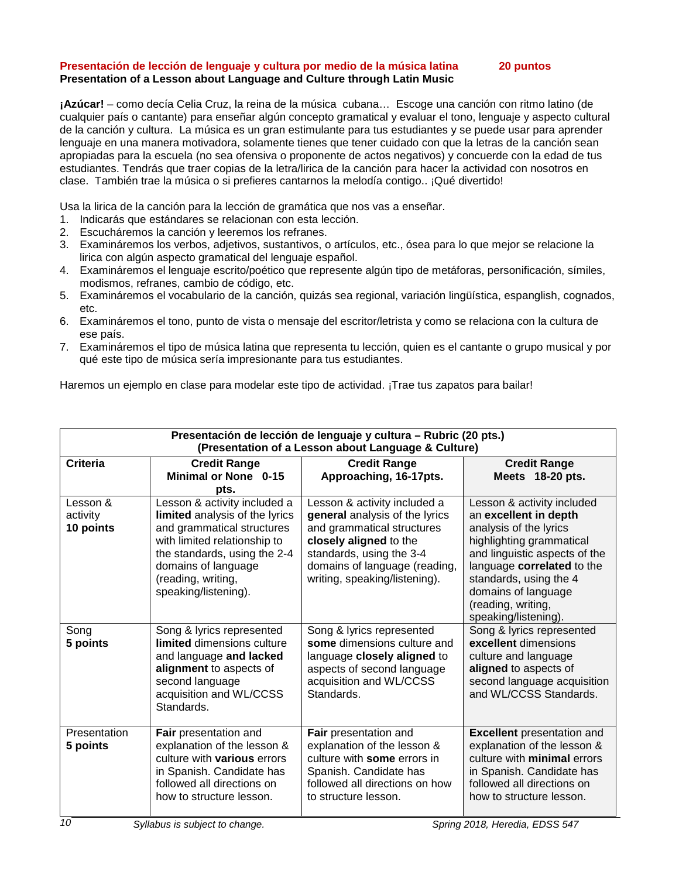#### **Presentación de lección de lenguaje y cultura por medio de la música latina 20 puntos Presentation of a Lesson about Language and Culture through Latin Music**

**¡Azúcar!** – como decía Celia Cruz, la reina de la música cubana… Escoge una canción con ritmo latino (de cualquier país o cantante) para enseñar algún concepto gramatical y evaluar el tono, lenguaje y aspecto cultural de la canción y cultura. La música es un gran estimulante para tus estudiantes y se puede usar para aprender lenguaje en una manera motivadora, solamente tienes que tener cuidado con que la letras de la canción sean apropiadas para la escuela (no sea ofensiva o proponente de actos negativos) y concuerde con la edad de tus estudiantes. Tendrás que traer copias de la letra/lirica de la canción para hacer la actividad con nosotros en clase. También trae la música o si prefieres cantarnos la melodía contigo.. ¡Qué divertido!

Usa la lirica de la canción para la lección de gramática que nos vas a enseñar.

- 1. Indicarás que estándares se relacionan con esta lección.
- 2. Escucháremos la canción y leeremos los refranes.
- 3. Examináremos los verbos, adjetivos, sustantivos, o artículos, etc., ósea para lo que mejor se relacione la lirica con algún aspecto gramatical del lenguaje español.
- 4. Examináremos el lenguaje escrito/poético que represente algún tipo de metáforas, personificación, símiles, modismos, refranes, cambio de código, etc.
- 5. Examináremos el vocabulario de la canción, quizás sea regional, variación lingüística, espanglish, cognados, etc.
- 6. Examináremos el tono, punto de vista o mensaje del escritor/letrista y como se relaciona con la cultura de ese país.
- 7. Examináremos el tipo de música latina que representa tu lección, quien es el cantante o grupo musical y por qué este tipo de música sería impresionante para tus estudiantes.

Haremos un ejemplo en clase para modelar este tipo de actividad. ¡Trae tus zapatos para bailar!

| Presentación de lección de lenguaje y cultura - Rubric (20 pts.)<br>(Presentation of a Lesson about Language & Culture) |                                                                                                                                                                                                                                   |                                                                                                                                                                                                                      |                                                                                                                                                                                                                                                                         |
|-------------------------------------------------------------------------------------------------------------------------|-----------------------------------------------------------------------------------------------------------------------------------------------------------------------------------------------------------------------------------|----------------------------------------------------------------------------------------------------------------------------------------------------------------------------------------------------------------------|-------------------------------------------------------------------------------------------------------------------------------------------------------------------------------------------------------------------------------------------------------------------------|
| <b>Criteria</b>                                                                                                         | <b>Credit Range</b><br>Minimal or None 0-15<br>pts.                                                                                                                                                                               | <b>Credit Range</b><br>Approaching, 16-17pts.                                                                                                                                                                        | <b>Credit Range</b><br>Meets 18-20 pts.                                                                                                                                                                                                                                 |
| Lesson &<br>activity<br>10 points                                                                                       | Lesson & activity included a<br>limited analysis of the lyrics<br>and grammatical structures<br>with limited relationship to<br>the standards, using the 2-4<br>domains of language<br>(reading, writing,<br>speaking/listening). | Lesson & activity included a<br>general analysis of the lyrics<br>and grammatical structures<br>closely aligned to the<br>standards, using the 3-4<br>domains of language (reading,<br>writing, speaking/listening). | Lesson & activity included<br>an excellent in depth<br>analysis of the lyrics<br>highlighting grammatical<br>and linguistic aspects of the<br>language correlated to the<br>standards, using the 4<br>domains of language<br>(reading, writing,<br>speaking/listening). |
| Song<br>5 points                                                                                                        | Song & lyrics represented<br><b>limited</b> dimensions culture<br>and language and lacked<br>alignment to aspects of<br>second language<br>acquisition and WL/CCSS<br>Standards.                                                  | Song & lyrics represented<br>some dimensions culture and<br>language closely aligned to<br>aspects of second language<br>acquisition and WL/CCSS<br>Standards.                                                       | Song & lyrics represented<br>excellent dimensions<br>culture and language<br>aligned to aspects of<br>second language acquisition<br>and WL/CCSS Standards.                                                                                                             |
| Presentation<br>5 points                                                                                                | Fair presentation and<br>explanation of the lesson &<br>culture with <b>various</b> errors<br>in Spanish. Candidate has<br>followed all directions on<br>how to structure lesson.                                                 | Fair presentation and<br>explanation of the lesson &<br>culture with some errors in<br>Spanish. Candidate has<br>followed all directions on how<br>to structure lesson.                                              | <b>Excellent</b> presentation and<br>explanation of the lesson &<br>culture with minimal errors<br>in Spanish. Candidate has<br>followed all directions on<br>how to structure lesson.                                                                                  |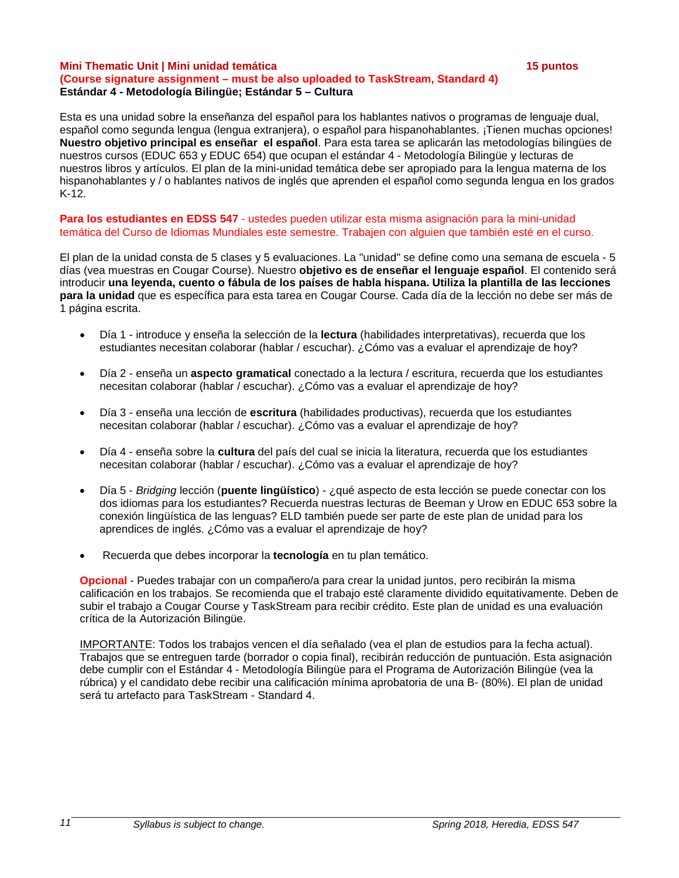#### **Mini Thematic Unit | Mini unidad temática 15 puntos**

### **(Course signature assignment – must be also uploaded to TaskStream, Standard 4) Estándar 4 - Metodología Bilingüe; Estándar 5 – Cultura**

Esta es una unidad sobre la enseñanza del español para los hablantes nativos o programas de lenguaje dual, español como segunda lengua (lengua extranjera), o español para hispanohablantes. ¡Tienen muchas opciones! **Nuestro objetivo principal es enseñar el español**. Para esta tarea se aplicarán las metodologías bilingües de nuestros cursos (EDUC 653 y EDUC 654) que ocupan el estándar 4 - Metodología Bilingüe y lecturas de nuestros libros y artículos. El plan de la mini-unidad temática debe ser apropiado para la lengua materna de los hispanohablantes y / o hablantes nativos de inglés que aprenden el español como segunda lengua en los grados K-12.

**Para los estudiantes en EDSS 547** - ustedes pueden utilizar esta misma asignación para la mini-unidad temática del Curso de Idiomas Mundiales este semestre. Trabajen con alguien que también esté en el curso.

El plan de la unidad consta de 5 clases y 5 evaluaciones. La "unidad" se define como una semana de escuela - 5 días (vea muestras en Cougar Course). Nuestro **objetivo es de enseñar el lenguaje español**. El contenido será introducir **una leyenda, cuento o fábula de los países de habla hispana. Utiliza la plantilla de las lecciones para la unidad** que es específica para esta tarea en Cougar Course. Cada día de la lección no debe ser más de 1 página escrita.

- Día 1 introduce y enseña la selección de la **lectura** (habilidades interpretativas), recuerda que los estudiantes necesitan colaborar (hablar / escuchar). ¿Cómo vas a evaluar el aprendizaje de hoy?
- Día 2 enseña un **aspecto gramatical** conectado a la lectura / escritura, recuerda que los estudiantes necesitan colaborar (hablar / escuchar). ¿Cómo vas a evaluar el aprendizaje de hoy?
- Día 3 enseña una lección de **escritura** (habilidades productivas), recuerda que los estudiantes necesitan colaborar (hablar / escuchar). ¿Cómo vas a evaluar el aprendizaje de hoy?
- Día 4 enseña sobre la **cultura** del país del cual se inicia la literatura, recuerda que los estudiantes necesitan colaborar (hablar / escuchar). ¿Cómo vas a evaluar el aprendizaje de hoy?
- Día 5 *Bridging* lección (**puente lingüístico**) ¿qué aspecto de esta lección se puede conectar con los dos idiomas para los estudiantes? Recuerda nuestras lecturas de Beeman y Urow en EDUC 653 sobre la conexión lingüística de las lenguas? ELD también puede ser parte de este plan de unidad para los aprendices de inglés. ¿Cómo vas a evaluar el aprendizaje de hoy?
- Recuerda que debes incorporar la **tecnología** en tu plan temático.

**Opcional** - Puedes trabajar con un compañero/a para crear la unidad juntos, pero recibirán la misma calificación en los trabajos. Se recomienda que el trabajo esté claramente dividido equitativamente. Deben de subir el trabajo a Cougar Course y TaskStream para recibir crédito. Este plan de unidad es una evaluación crítica de la Autorización Bilingüe.

IMPORTANTE: Todos los trabajos vencen el día señalado (vea el plan de estudios para la fecha actual). Trabajos que se entreguen tarde (borrador o copia final), recibirán reducción de puntuación. Esta asignación debe cumplir con el Estándar 4 - Metodología Bilingüe para el Programa de Autorización Bilingüe (vea la rúbrica) y el candidato debe recibir una calificación mínima aprobatoria de una B- (80%). El plan de unidad será tu artefacto para TaskStream - Standard 4.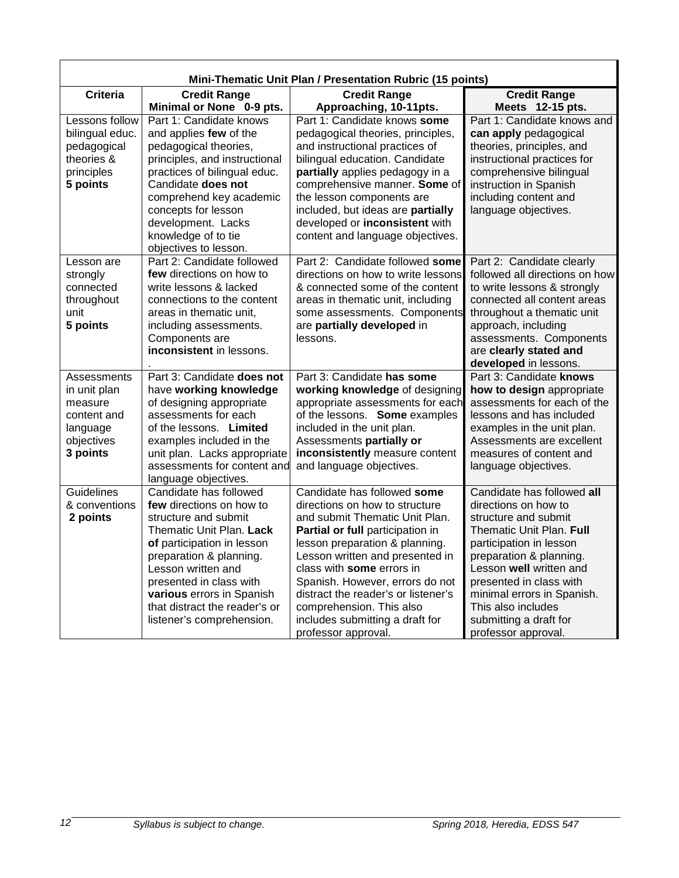| Mini-Thematic Unit Plan / Presentation Rubric (15 points)     |                                                       |                                                                   |                                                           |
|---------------------------------------------------------------|-------------------------------------------------------|-------------------------------------------------------------------|-----------------------------------------------------------|
| <b>Criteria</b><br><b>Credit Range</b><br><b>Credit Range</b> |                                                       | <b>Credit Range</b>                                               |                                                           |
|                                                               | Minimal or None 0-9 pts.                              | Approaching, 10-11pts.                                            | Meets 12-15 pts.                                          |
| Lessons follow                                                | Part 1: Candidate knows                               | Part 1: Candidate knows some                                      | Part 1: Candidate knows and                               |
| bilingual educ.                                               | and applies few of the                                | pedagogical theories, principles,                                 | can apply pedagogical                                     |
| pedagogical                                                   | pedagogical theories,                                 | and instructional practices of                                    | theories, principles, and                                 |
| theories &                                                    | principles, and instructional                         | bilingual education. Candidate                                    | instructional practices for                               |
| principles                                                    | practices of bilingual educ.                          | partially applies pedagogy in a                                   | comprehensive bilingual                                   |
| 5 points                                                      | Candidate does not                                    | comprehensive manner. Some of                                     | instruction in Spanish                                    |
|                                                               | comprehend key academic                               | the lesson components are                                         | including content and                                     |
|                                                               | concepts for lesson                                   | included, but ideas are partially                                 | language objectives.                                      |
|                                                               | development. Lacks                                    | developed or inconsistent with                                    |                                                           |
|                                                               | knowledge of to tie                                   | content and language objectives.                                  |                                                           |
|                                                               | objectives to lesson.                                 |                                                                   |                                                           |
| Lesson are                                                    | Part 2: Candidate followed                            | Part 2: Candidate followed some                                   | Part 2: Candidate clearly                                 |
| strongly                                                      | few directions on how to                              | directions on how to write lessons                                | followed all directions on how                            |
| connected                                                     | write lessons & lacked                                | & connected some of the content                                   | to write lessons & strongly                               |
| throughout<br>unit                                            | connections to the content<br>areas in thematic unit, | areas in thematic unit, including<br>some assessments. Components | connected all content areas<br>throughout a thematic unit |
| 5 points                                                      | including assessments.                                | are partially developed in                                        | approach, including                                       |
|                                                               | Components are                                        | lessons.                                                          | assessments. Components                                   |
|                                                               | inconsistent in lessons.                              |                                                                   | are clearly stated and                                    |
|                                                               |                                                       |                                                                   | developed in lessons.                                     |
| Assessments                                                   | Part 3: Candidate does not                            | Part 3: Candidate has some                                        | Part 3: Candidate knows                                   |
| in unit plan                                                  | have working knowledge                                | working knowledge of designing                                    | how to design appropriate                                 |
| measure                                                       | of designing appropriate                              | appropriate assessments for each                                  | assessments for each of the                               |
| content and                                                   | assessments for each                                  | of the lessons. Some examples                                     | lessons and has included                                  |
| language                                                      | of the lessons. Limited                               | included in the unit plan.                                        | examples in the unit plan.                                |
| objectives                                                    | examples included in the                              | Assessments partially or                                          | Assessments are excellent                                 |
| 3 points                                                      | unit plan. Lacks appropriate                          | inconsistently measure content                                    | measures of content and                                   |
|                                                               | assessments for content and                           | and language objectives.                                          | language objectives.                                      |
|                                                               | language objectives.                                  |                                                                   |                                                           |
| Guidelines                                                    | Candidate has followed                                | Candidate has followed some                                       | Candidate has followed all                                |
| & conventions                                                 | few directions on how to                              | directions on how to structure                                    | directions on how to                                      |
| 2 points                                                      | structure and submit                                  | and submit Thematic Unit Plan.                                    | structure and submit                                      |
|                                                               | Thematic Unit Plan. Lack                              | Partial or full participation in                                  | Thematic Unit Plan. Full                                  |
|                                                               | of participation in lesson                            | lesson preparation & planning.                                    | participation in lesson                                   |
|                                                               | preparation & planning.                               | Lesson written and presented in                                   | preparation & planning.                                   |
|                                                               | Lesson written and                                    | class with some errors in                                         | Lesson well written and                                   |
|                                                               | presented in class with                               | Spanish. However, errors do not                                   | presented in class with                                   |
|                                                               | various errors in Spanish                             | distract the reader's or listener's                               | minimal errors in Spanish.                                |
|                                                               | that distract the reader's or                         | comprehension. This also                                          | This also includes                                        |
|                                                               | listener's comprehension.                             | includes submitting a draft for                                   | submitting a draft for                                    |
|                                                               |                                                       | professor approval.                                               | professor approval.                                       |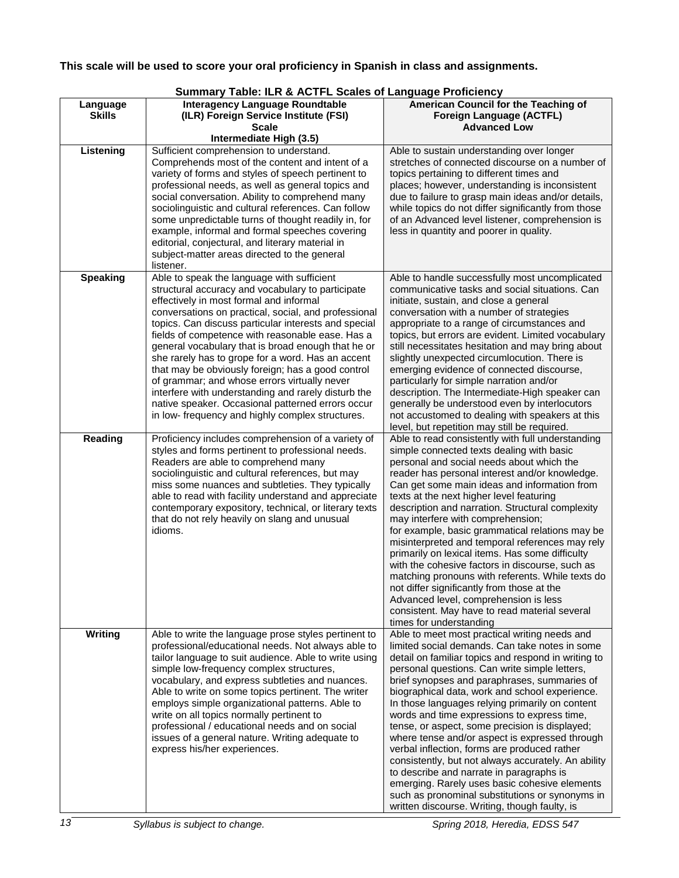# **This scale will be used to score your oral proficiency in Spanish in class and assignments.**

# **Summary Table: ILR & ACTFL Scales of Language Proficiency**

| Language<br><b>Skills</b> | <b>Interagency Language Roundtable</b><br>(ILR) Foreign Service Institute (FSI)                                                                                                                                                                                                                                                                                                                                                                                                                                                                                                                                                                  | American Council for the Teaching of<br>Foreign Language (ACTFL)                                                                                                                                                                                                                                                                                                                                                                                                                                                                                                                                                                                                                                                                                                                                                        |
|---------------------------|--------------------------------------------------------------------------------------------------------------------------------------------------------------------------------------------------------------------------------------------------------------------------------------------------------------------------------------------------------------------------------------------------------------------------------------------------------------------------------------------------------------------------------------------------------------------------------------------------------------------------------------------------|-------------------------------------------------------------------------------------------------------------------------------------------------------------------------------------------------------------------------------------------------------------------------------------------------------------------------------------------------------------------------------------------------------------------------------------------------------------------------------------------------------------------------------------------------------------------------------------------------------------------------------------------------------------------------------------------------------------------------------------------------------------------------------------------------------------------------|
|                           | Scale                                                                                                                                                                                                                                                                                                                                                                                                                                                                                                                                                                                                                                            | <b>Advanced Low</b>                                                                                                                                                                                                                                                                                                                                                                                                                                                                                                                                                                                                                                                                                                                                                                                                     |
| Listening                 | Intermediate High (3.5)                                                                                                                                                                                                                                                                                                                                                                                                                                                                                                                                                                                                                          |                                                                                                                                                                                                                                                                                                                                                                                                                                                                                                                                                                                                                                                                                                                                                                                                                         |
|                           | Sufficient comprehension to understand.<br>Comprehends most of the content and intent of a<br>variety of forms and styles of speech pertinent to<br>professional needs, as well as general topics and<br>social conversation. Ability to comprehend many<br>sociolinguistic and cultural references. Can follow<br>some unpredictable turns of thought readily in, for<br>example, informal and formal speeches covering<br>editorial, conjectural, and literary material in<br>subject-matter areas directed to the general<br>listener.                                                                                                        | Able to sustain understanding over longer<br>stretches of connected discourse on a number of<br>topics pertaining to different times and<br>places; however, understanding is inconsistent<br>due to failure to grasp main ideas and/or details,<br>while topics do not differ significantly from those<br>of an Advanced level listener, comprehension is<br>less in quantity and poorer in quality.                                                                                                                                                                                                                                                                                                                                                                                                                   |
| <b>Speaking</b>           | Able to speak the language with sufficient                                                                                                                                                                                                                                                                                                                                                                                                                                                                                                                                                                                                       | Able to handle successfully most uncomplicated                                                                                                                                                                                                                                                                                                                                                                                                                                                                                                                                                                                                                                                                                                                                                                          |
|                           | structural accuracy and vocabulary to participate<br>effectively in most formal and informal<br>conversations on practical, social, and professional<br>topics. Can discuss particular interests and special<br>fields of competence with reasonable ease. Has a<br>general vocabulary that is broad enough that he or<br>she rarely has to grope for a word. Has an accent<br>that may be obviously foreign; has a good control<br>of grammar; and whose errors virtually never<br>interfere with understanding and rarely disturb the<br>native speaker. Occasional patterned errors occur<br>in low- frequency and highly complex structures. | communicative tasks and social situations. Can<br>initiate, sustain, and close a general<br>conversation with a number of strategies<br>appropriate to a range of circumstances and<br>topics, but errors are evident. Limited vocabulary<br>still necessitates hesitation and may bring about<br>slightly unexpected circumlocution. There is<br>emerging evidence of connected discourse,<br>particularly for simple narration and/or<br>description. The Intermediate-High speaker can<br>generally be understood even by interlocutors<br>not accustomed to dealing with speakers at this<br>level, but repetition may still be required.                                                                                                                                                                           |
| Reading                   | Proficiency includes comprehension of a variety of<br>styles and forms pertinent to professional needs.<br>Readers are able to comprehend many<br>sociolinguistic and cultural references, but may<br>miss some nuances and subtleties. They typically<br>able to read with facility understand and appreciate<br>contemporary expository, technical, or literary texts<br>that do not rely heavily on slang and unusual<br>idioms.                                                                                                                                                                                                              | Able to read consistently with full understanding<br>simple connected texts dealing with basic<br>personal and social needs about which the<br>reader has personal interest and/or knowledge.<br>Can get some main ideas and information from<br>texts at the next higher level featuring<br>description and narration. Structural complexity<br>may interfere with comprehension;<br>for example, basic grammatical relations may be<br>misinterpreted and temporal references may rely<br>primarily on lexical items. Has some difficulty<br>with the cohesive factors in discourse, such as<br>matching pronouns with referents. While texts do<br>not differ significantly from those at the<br>Advanced level, comprehension is less<br>consistent. May have to read material several<br>times for understanding   |
| <b>Writing</b>            | Able to write the language prose styles pertinent to<br>professional/educational needs. Not always able to<br>tailor language to suit audience. Able to write using<br>simple low-frequency complex structures,<br>vocabulary, and express subtleties and nuances.<br>Able to write on some topics pertinent. The writer<br>employs simple organizational patterns. Able to<br>write on all topics normally pertinent to<br>professional / educational needs and on social<br>issues of a general nature. Writing adequate to<br>express his/her experiences.                                                                                    | Able to meet most practical writing needs and<br>limited social demands. Can take notes in some<br>detail on familiar topics and respond in writing to<br>personal questions. Can write simple letters,<br>brief synopses and paraphrases, summaries of<br>biographical data, work and school experience.<br>In those languages relying primarily on content<br>words and time expressions to express time,<br>tense, or aspect, some precision is displayed;<br>where tense and/or aspect is expressed through<br>verbal inflection, forms are produced rather<br>consistently, but not always accurately. An ability<br>to describe and narrate in paragraphs is<br>emerging. Rarely uses basic cohesive elements<br>such as pronominal substitutions or synonyms in<br>written discourse. Writing, though faulty, is |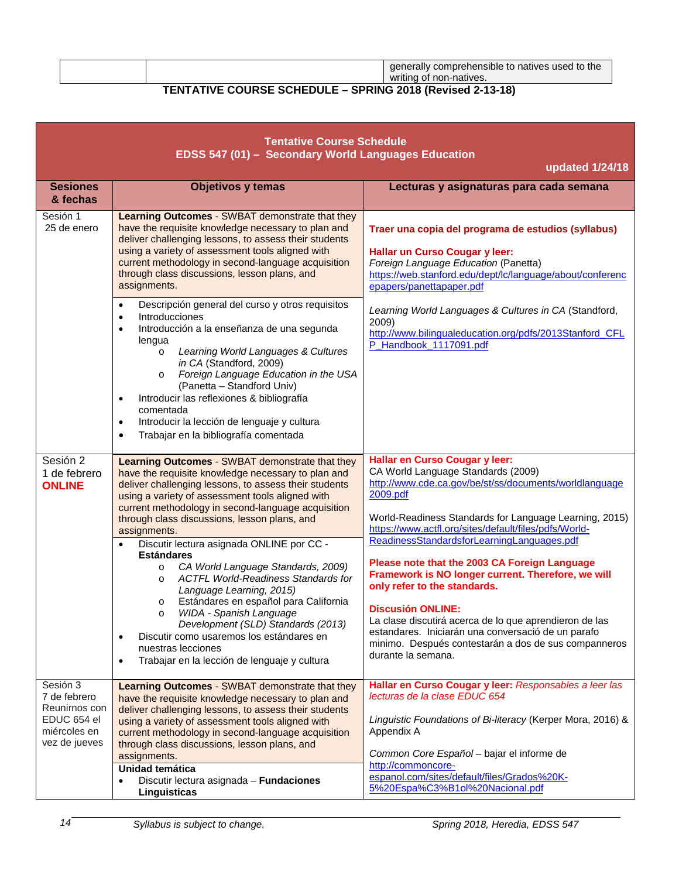<span id="page-13-0"></span>generally comprehensible to natives used to the writing of non-natives.

# **TENTATIVE COURSE SCHEDULE – SPRING 2018 (Revised 2-13-18)**

| <b>Tentative Course Schedule</b><br>EDSS 547 (01) - Secondary World Languages Education   |                                                                                                                                                                                                                                                                                                                                                                                                                                                                                                                                                                                                                                                                                                                                                                                                                                                                              |                                                                                                                                                                                                                                                                                                                                                                                                                                                                                                                                                                                                                                                                              |  |  |
|-------------------------------------------------------------------------------------------|------------------------------------------------------------------------------------------------------------------------------------------------------------------------------------------------------------------------------------------------------------------------------------------------------------------------------------------------------------------------------------------------------------------------------------------------------------------------------------------------------------------------------------------------------------------------------------------------------------------------------------------------------------------------------------------------------------------------------------------------------------------------------------------------------------------------------------------------------------------------------|------------------------------------------------------------------------------------------------------------------------------------------------------------------------------------------------------------------------------------------------------------------------------------------------------------------------------------------------------------------------------------------------------------------------------------------------------------------------------------------------------------------------------------------------------------------------------------------------------------------------------------------------------------------------------|--|--|
|                                                                                           | updated 1/24/18                                                                                                                                                                                                                                                                                                                                                                                                                                                                                                                                                                                                                                                                                                                                                                                                                                                              |                                                                                                                                                                                                                                                                                                                                                                                                                                                                                                                                                                                                                                                                              |  |  |
| <b>Sesiones</b><br>& fechas                                                               | <b>Objetivos y temas</b>                                                                                                                                                                                                                                                                                                                                                                                                                                                                                                                                                                                                                                                                                                                                                                                                                                                     | Lecturas y asignaturas para cada semana                                                                                                                                                                                                                                                                                                                                                                                                                                                                                                                                                                                                                                      |  |  |
| Sesión 1<br>25 de enero                                                                   | <b>Learning Outcomes - SWBAT demonstrate that they</b><br>have the requisite knowledge necessary to plan and<br>deliver challenging lessons, to assess their students<br>using a variety of assessment tools aligned with<br>current methodology in second-language acquisition<br>through class discussions, lesson plans, and<br>assignments.<br>Descripción general del curso y otros requisitos<br>$\bullet$<br>Introducciones<br>$\bullet$<br>Introducción a la enseñanza de una segunda<br>$\bullet$<br>lengua<br>Learning World Languages & Cultures<br>$\circ$<br>in CA (Standford, 2009)<br>Foreign Language Education in the USA<br>$\circ$<br>(Panetta - Standford Univ)<br>Introducir las reflexiones & bibliografía<br>$\bullet$<br>comentada<br>Introducir la lección de lenguaje y cultura<br>$\bullet$<br>Trabajar en la bibliografía comentada<br>$\bullet$ | Traer una copia del programa de estudios (syllabus)<br>Hallar un Curso Cougar y leer:<br>Foreign Language Education (Panetta)<br>https://web.stanford.edu/dept/lc/language/about/conferenc<br>epapers/panettapaper.pdf<br>Learning World Languages & Cultures in CA (Standford,<br>2009)<br>http://www.bilingualeducation.org/pdfs/2013Stanford_CFL<br>P_Handbook_1117091.pdf                                                                                                                                                                                                                                                                                                |  |  |
| Sesión 2<br>1 de febrero<br><b>ONLINE</b>                                                 | Learning Outcomes - SWBAT demonstrate that they<br>have the requisite knowledge necessary to plan and<br>deliver challenging lessons, to assess their students<br>using a variety of assessment tools aligned with<br>current methodology in second-language acquisition<br>through class discussions, lesson plans, and<br>assignments.<br>Discutir lectura asignada ONLINE por CC -<br><b>Estándares</b><br>CA World Language Standards, 2009)<br>$\circ$<br><b>ACTFL World-Readiness Standards for</b><br>$\circ$<br>Language Learning, 2015)<br>Estándares en español para California<br>$\circ$<br>WIDA - Spanish Language<br>$\circ$<br>Development (SLD) Standards (2013)<br>Discutir como usaremos los estándares en<br>$\bullet$<br>nuestras lecciones<br>Trabajar en la lección de lenguaje y cultura<br>$\bullet$                                                 | Hallar en Curso Cougar y leer:<br>CA World Language Standards (2009)<br>http://www.cde.ca.gov/be/st/ss/documents/worldlanguage<br>2009.pdf<br>World-Readiness Standards for Language Learning, 2015)<br>https://www.actfl.org/sites/default/files/pdfs/World-<br>ReadinessStandardsforLearningLanguages.pdf<br>Please note that the 2003 CA Foreign Language<br>Framework is NO longer current. Therefore, we will<br>only refer to the standards.<br><b>Discusión ONLINE:</b><br>La clase discutirá acerca de lo que aprendieron de las<br>estandares. Iniciarán una conversació de un parafo<br>minimo. Después contestarán a dos de sus companneros<br>durante la semana. |  |  |
| Sesión 3<br>7 de febrero<br>Reunirnos con<br>EDUC 654 el<br>miércoles en<br>vez de jueves | Learning Outcomes - SWBAT demonstrate that they<br>have the requisite knowledge necessary to plan and<br>deliver challenging lessons, to assess their students<br>using a variety of assessment tools aligned with<br>current methodology in second-language acquisition<br>through class discussions, lesson plans, and<br>assignments.<br>Unidad temática<br>Discutir lectura asignada - Fundaciones<br>$\bullet$<br>Linguisticas                                                                                                                                                                                                                                                                                                                                                                                                                                          | Hallar en Curso Cougar y leer: Responsables a leer las<br>lecturas de la clase EDUC 654<br>Linguistic Foundations of Bi-literacy (Kerper Mora, 2016) &<br>Appendix A<br>Common Core Español - bajar el informe de<br>http://commoncore-<br>espanol.com/sites/default/files/Grados%20K-<br>5%20Espa%C3%B1ol%20Nacional.pdf                                                                                                                                                                                                                                                                                                                                                    |  |  |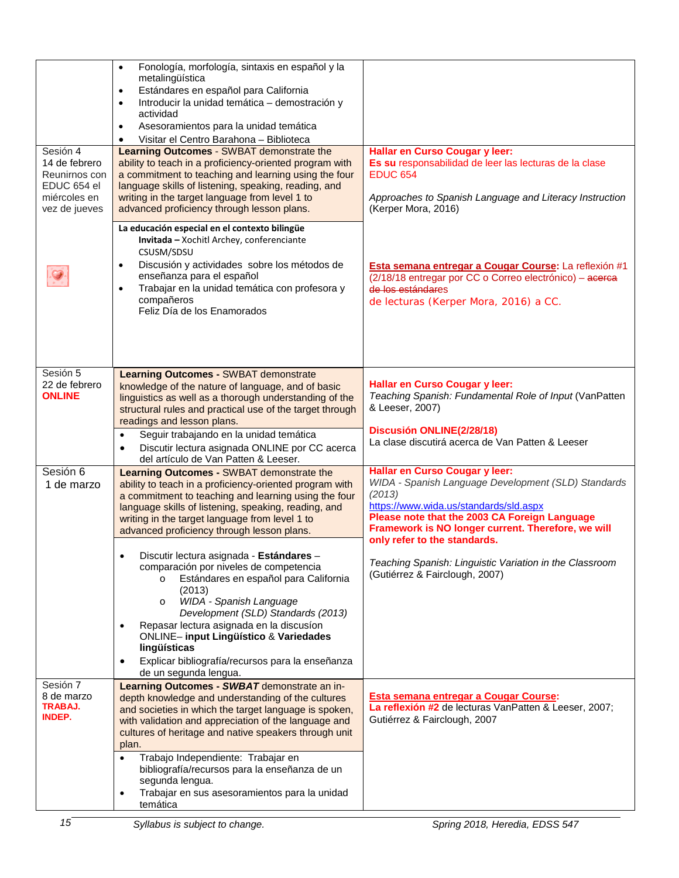| Sesión 4<br>14 de febrero<br>Reunirnos con<br>EDUC 654 el<br>miércoles en<br>vez de jueves | Fonología, morfología, sintaxis en español y la<br>$\bullet$<br>metalingüística<br>Estándares en español para California<br>$\bullet$<br>Introducir la unidad temática - demostración y<br>$\bullet$<br>actividad<br>Asesoramientos para la unidad temática<br>$\bullet$<br>Visitar el Centro Barahona - Biblioteca<br><b>Learning Outcomes - SWBAT demonstrate the</b><br>ability to teach in a proficiency-oriented program with<br>a commitment to teaching and learning using the four<br>language skills of listening, speaking, reading, and<br>writing in the target language from level 1 to<br>advanced proficiency through lesson plans. | Hallar en Curso Cougar y leer:<br>Es su responsabilidad de leer las lecturas de la clase<br><b>EDUC 654</b><br>Approaches to Spanish Language and Literacy Instruction<br>(Kerper Mora, 2016)                                                    |
|--------------------------------------------------------------------------------------------|----------------------------------------------------------------------------------------------------------------------------------------------------------------------------------------------------------------------------------------------------------------------------------------------------------------------------------------------------------------------------------------------------------------------------------------------------------------------------------------------------------------------------------------------------------------------------------------------------------------------------------------------------|--------------------------------------------------------------------------------------------------------------------------------------------------------------------------------------------------------------------------------------------------|
|                                                                                            | La educación especial en el contexto bilingüe<br>Invitada - Xochitl Archey, conferenciante<br>CSUSM/SDSU<br>Discusión y actividades sobre los métodos de<br>$\bullet$<br>enseñanza para el español<br>Trabajar en la unidad temática con profesora y<br>$\bullet$<br>compañeros<br>Feliz Día de los Enamorados                                                                                                                                                                                                                                                                                                                                     | Esta semana entregar a Cougar Course: La reflexión #1<br>(2/18/18 entregar por CC o Correo electrónico) - acerca<br>de los estándares<br>de lecturas (Kerper Mora, 2016) a CC.                                                                   |
| Sesión 5<br>22 de febrero<br><b>ONLINE</b>                                                 | <b>Learning Outcomes - SWBAT demonstrate</b><br>knowledge of the nature of language, and of basic<br>linguistics as well as a thorough understanding of the<br>structural rules and practical use of the target through<br>readings and lesson plans.                                                                                                                                                                                                                                                                                                                                                                                              | Hallar en Curso Cougar y leer:<br>Teaching Spanish: Fundamental Role of Input (VanPatten<br>& Leeser, 2007)                                                                                                                                      |
|                                                                                            | Seguir trabajando en la unidad temática<br>$\bullet$<br>Discutir lectura asignada ONLINE por CC acerca<br>$\bullet$<br>del artículo de Van Patten & Leeser.                                                                                                                                                                                                                                                                                                                                                                                                                                                                                        | Discusión ONLINE(2/28/18)<br>La clase discutirá acerca de Van Patten & Leeser                                                                                                                                                                    |
| Sesión 6<br>1 de marzo                                                                     | Learning Outcomes - SWBAT demonstrate the<br>ability to teach in a proficiency-oriented program with<br>a commitment to teaching and learning using the four<br>language skills of listening, speaking, reading, and<br>writing in the target language from level 1 to<br>advanced proficiency through lesson plans.                                                                                                                                                                                                                                                                                                                               | Hallar en Curso Cougar y leer:<br>WIDA - Spanish Language Development (SLD) Standards<br>(2013)<br>https://www.wida.us/standards/sld.aspx<br>Please note that the 2003 CA Foreign Language<br>Framework is NO longer current. Therefore, we will |
|                                                                                            | Discutir lectura asignada - Estándares<br>comparación por niveles de competencia<br>Estándares en español para California<br>(2013)<br>WIDA - Spanish Language<br>$\circ$<br>Development (SLD) Standards (2013)<br>Repasar lectura asignada en la discusíon<br><b>ONLINE- input Lingüístico &amp; Variedades</b><br>lingüísticas<br>Explicar bibliografía/recursos para la enseñanza<br>$\bullet$<br>de un segunda lengua.                                                                                                                                                                                                                         | only refer to the standards.<br>Teaching Spanish: Linguistic Variation in the Classroom<br>(Gutiérrez & Fairclough, 2007)                                                                                                                        |
| Sesión 7<br>8 de marzo<br>TRABAJ.<br><b>INDEP.</b>                                         | Learning Outcomes - SWBAT demonstrate an in-<br>depth knowledge and understanding of the cultures<br>and societies in which the target language is spoken,<br>with validation and appreciation of the language and<br>cultures of heritage and native speakers through unit<br>plan.                                                                                                                                                                                                                                                                                                                                                               | Esta semana entregar a Cougar Course:<br>La reflexión #2 de lecturas VanPatten & Leeser, 2007;<br>Gutiérrez & Fairclough, 2007                                                                                                                   |
|                                                                                            | Trabajo Independiente: Trabajar en<br>bibliografía/recursos para la enseñanza de un<br>segunda lengua.<br>Trabajar en sus asesoramientos para la unidad<br>$\bullet$<br>temática                                                                                                                                                                                                                                                                                                                                                                                                                                                                   |                                                                                                                                                                                                                                                  |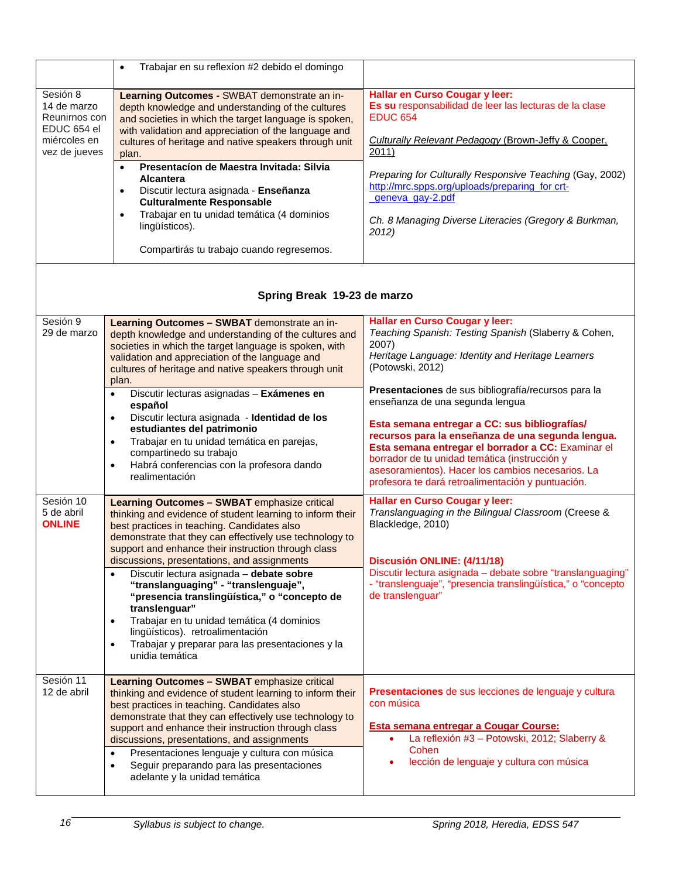|                                                                                          | Trabajar en su reflexíon #2 debido el domingo<br>$\bullet$                                                                                                                                                                                                                                                                                                                                                                                                                                                                  |                                                                                                                                                                                                                                                                                                                                                                                 |  |
|------------------------------------------------------------------------------------------|-----------------------------------------------------------------------------------------------------------------------------------------------------------------------------------------------------------------------------------------------------------------------------------------------------------------------------------------------------------------------------------------------------------------------------------------------------------------------------------------------------------------------------|---------------------------------------------------------------------------------------------------------------------------------------------------------------------------------------------------------------------------------------------------------------------------------------------------------------------------------------------------------------------------------|--|
| Sesión 8<br>14 de marzo<br>Reunirnos con<br>EDUC 654 el<br>miércoles en<br>vez de jueves | Learning Outcomes - SWBAT demonstrate an in-<br>depth knowledge and understanding of the cultures<br>and societies in which the target language is spoken,<br>with validation and appreciation of the language and<br>cultures of heritage and native speakers through unit<br>plan.<br>Presentacíon de Maestra Invitada: Silvia<br>$\bullet$<br><b>Alcantera</b><br>Discutir lectura asignada - Enseñanza<br><b>Culturalmente Responsable</b><br>Trabajar en tu unidad temática (4 dominios<br>$\bullet$<br>lingüísticos). | Hallar en Curso Cougar y leer:<br>Es su responsabilidad de leer las lecturas de la clase<br><b>EDUC 654</b><br>Culturally Relevant Pedagogy (Brown-Jeffy & Cooper,<br>2011)<br>Preparing for Culturally Responsive Teaching (Gay, 2002)<br>http://mrc.spps.org/uploads/preparing for crt-<br>geneva_gay-2.pdf<br>Ch. 8 Managing Diverse Literacies (Gregory & Burkman,<br>2012) |  |
|                                                                                          | Compartirás tu trabajo cuando regresemos.                                                                                                                                                                                                                                                                                                                                                                                                                                                                                   |                                                                                                                                                                                                                                                                                                                                                                                 |  |
|                                                                                          | Spring Break 19-23 de marzo                                                                                                                                                                                                                                                                                                                                                                                                                                                                                                 |                                                                                                                                                                                                                                                                                                                                                                                 |  |
| Sesión 9<br>29 de marzo                                                                  | Learning Outcomes - SWBAT demonstrate an in-<br>depth knowledge and understanding of the cultures and<br>societies in which the target language is spoken, with<br>validation and appreciation of the language and<br>cultures of heritage and native speakers through unit<br>plan.<br>Discutir lecturas asignadas - Exámenes en<br>$\bullet$<br>español<br>Discutir lectura asignada - Identidad de los<br>$\bullet$<br>estudiantes del patrimonio                                                                        | Hallar en Curso Cougar y leer:<br>Teaching Spanish: Testing Spanish (Slaberry & Cohen,<br>2007)<br>Heritage Language: Identity and Heritage Learners<br>(Potowski, 2012)<br>Presentaciones de sus bibliografía/recursos para la<br>enseñanza de una segunda lengua<br>Esta semana entregar a CC: sus bibliografías/                                                             |  |
|                                                                                          | Trabajar en tu unidad temática en parejas,<br>$\bullet$<br>compartinedo su trabajo<br>Habrá conferencias con la profesora dando<br>$\bullet$<br>realimentación                                                                                                                                                                                                                                                                                                                                                              | recursos para la enseñanza de una segunda lengua.<br>Esta semana entregar el borrador a CC: Examinar el<br>borrador de tu unidad temática (instrucción y<br>asesoramientos). Hacer los cambios necesarios. La<br>profesora te dará retroalimentación y puntuación.                                                                                                              |  |
| Sesión 10<br>5 de abril<br><b>ONLINE</b>                                                 | <b>Learning Outcomes - SWBAT emphasize critical</b><br>thinking and evidence of student learning to inform their<br>best practices in teaching. Candidates also<br>demonstrate that they can effectively use technology to<br>support and enhance their instruction through class<br>discussions, presentations, and assignments<br>Discutir lectura asignada - debate sobre<br>$\bullet$<br>"translanguaging" - "translenguaje",<br>"presencia translingüística," o "concepto de<br>translenguar"                          | Hallar en Curso Cougar y leer:<br>Translanguaging in the Bilingual Classroom (Creese &<br>Blackledge, 2010)<br>Discusión ONLINE: (4/11/18)<br>Discutir lectura asignada - debate sobre "translanguaging"<br>- "translenguaje", "presencia translingüística," o "concepto<br>de translenguar"                                                                                    |  |
|                                                                                          | Trabajar en tu unidad temática (4 dominios<br>$\bullet$<br>lingüísticos). retroalimentación<br>Trabajar y preparar para las presentaciones y la<br>$\bullet$<br>unidia temática                                                                                                                                                                                                                                                                                                                                             |                                                                                                                                                                                                                                                                                                                                                                                 |  |
| Sesión 11<br>12 de abril                                                                 | <b>Learning Outcomes - SWBAT emphasize critical</b><br>thinking and evidence of student learning to inform their<br>best practices in teaching. Candidates also<br>demonstrate that they can effectively use technology to<br>support and enhance their instruction through class<br>discussions, presentations, and assignments<br>Presentaciones lenguaje y cultura con música<br>$\bullet$<br>Seguir preparando para las presentaciones<br>$\bullet$<br>adelante y la unidad temática                                    | Presentaciones de sus lecciones de lenguaje y cultura<br>con música<br><b>Esta semana entregar a Cougar Course:</b><br>La reflexión #3 - Potowski, 2012; Slaberry &<br>٠<br>Cohen<br>lección de lenguaje y cultura con música                                                                                                                                                   |  |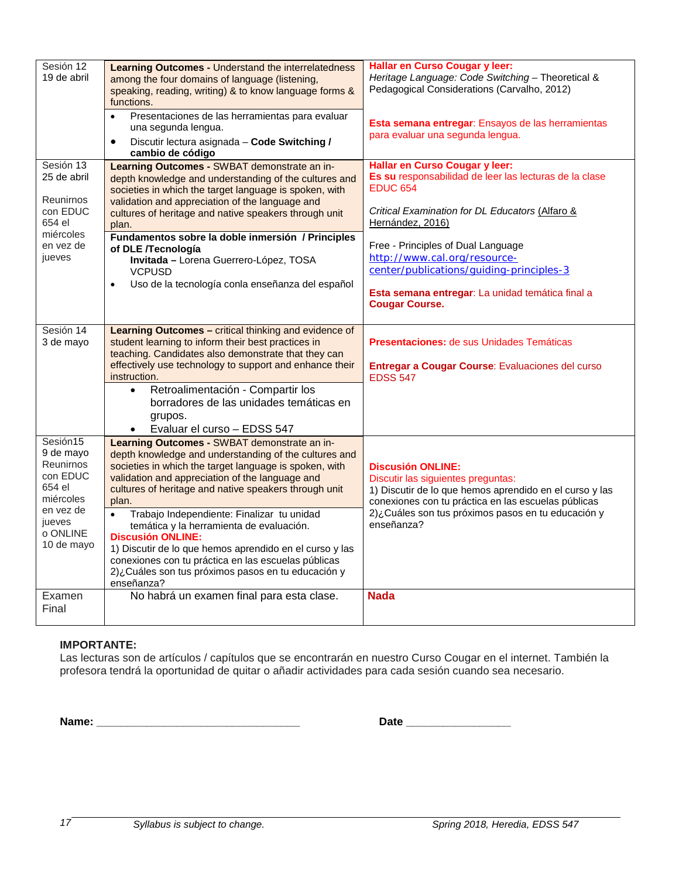| Sesión 12<br>19 de abril                                                                                               | <b>Learning Outcomes - Understand the interrelatedness</b><br>among the four domains of language (listening,<br>speaking, reading, writing) & to know language forms &<br>functions.<br>Presentaciones de las herramientas para evaluar<br>$\bullet$<br>una segunda lengua.<br>Discutir lectura asignada - Code Switching /<br>$\bullet$<br>cambio de código                                                                                                                                                                                                                                                  | Hallar en Curso Cougar y leer:<br>Heritage Language: Code Switching - Theoretical &<br>Pedagogical Considerations (Carvalho, 2012)<br>Esta semana entregar: Ensayos de las herramientas<br>para evaluar una segunda lengua.                                                                                                                                                       |
|------------------------------------------------------------------------------------------------------------------------|---------------------------------------------------------------------------------------------------------------------------------------------------------------------------------------------------------------------------------------------------------------------------------------------------------------------------------------------------------------------------------------------------------------------------------------------------------------------------------------------------------------------------------------------------------------------------------------------------------------|-----------------------------------------------------------------------------------------------------------------------------------------------------------------------------------------------------------------------------------------------------------------------------------------------------------------------------------------------------------------------------------|
| Sesión 13<br>25 de abril<br><b>Reunirnos</b><br>con EDUC<br>654 el<br>miércoles<br>en vez de<br>jueves                 | Learning Outcomes - SWBAT demonstrate an in-<br>depth knowledge and understanding of the cultures and<br>societies in which the target language is spoken, with<br>validation and appreciation of the language and<br>cultures of heritage and native speakers through unit<br>plan.<br>Fundamentos sobre la doble inmersión / Principles<br>of DLE /Tecnología<br>Invitada - Lorena Guerrero-López, TOSA<br><b>VCPUSD</b><br>Uso de la tecnología conla enseñanza del español<br>$\bullet$                                                                                                                   | Hallar en Curso Cougar y leer:<br>Es su responsabilidad de leer las lecturas de la clase<br><b>EDUC 654</b><br>Critical Examination for DL Educators (Alfaro &<br>Hernández, 2016)<br>Free - Principles of Dual Language<br>http://www.cal.org/resource-<br>center/publications/quiding-principles-3<br>Esta semana entregar: La unidad temática final a<br><b>Cougar Course.</b> |
| Sesión 14<br>3 de mayo                                                                                                 | Learning Outcomes - critical thinking and evidence of<br>student learning to inform their best practices in<br>teaching. Candidates also demonstrate that they can<br>effectively use technology to support and enhance their<br>instruction.<br>Retroalimentación - Compartir los<br>$\bullet$<br>borradores de las unidades temáticas en<br>grupos.<br>Evaluar el curso - EDSS 547                                                                                                                                                                                                                          | <b>Presentaciones:</b> de sus Unidades Temáticas<br>Entregar a Cougar Course: Evaluaciones del curso<br><b>EDSS 547</b>                                                                                                                                                                                                                                                           |
| Sesión15<br>9 de mayo<br>Reunirnos<br>con EDUC<br>654 el<br>miércoles<br>en vez de<br>jueves<br>o ONLINE<br>10 de mayo | Learning Outcomes - SWBAT demonstrate an in-<br>depth knowledge and understanding of the cultures and<br>societies in which the target language is spoken, with<br>validation and appreciation of the language and<br>cultures of heritage and native speakers through unit<br>plan.<br>Trabajo Independiente: Finalizar tu unidad<br>$\bullet$<br>temática y la herramienta de evaluación.<br><b>Discusión ONLINE:</b><br>1) Discutir de lo que hemos aprendido en el curso y las<br>conexiones con tu práctica en las escuelas públicas<br>2)¿Cuáles son tus próximos pasos en tu educación y<br>enseñanza? | <b>Discusión ONLINE:</b><br>Discutir las siguientes preguntas:<br>1) Discutir de lo que hemos aprendido en el curso y las<br>conexiones con tu práctica en las escuelas públicas<br>2)¿Cuáles son tus próximos pasos en tu educación y<br>enseñanza?                                                                                                                              |
| Examen<br>Final                                                                                                        | No habrá un examen final para esta clase.                                                                                                                                                                                                                                                                                                                                                                                                                                                                                                                                                                     | <b>Nada</b>                                                                                                                                                                                                                                                                                                                                                                       |

# **IMPORTANTE:**

Las lecturas son de artículos / capítulos que se encontrarán en nuestro Curso Cougar en el internet. También la profesora tendrá la oportunidad de quitar o añadir actividades para cada sesión cuando sea necesario.

**Name: \_\_\_\_\_\_\_\_\_\_\_\_\_\_\_\_\_\_\_\_\_\_\_\_\_\_\_\_\_\_\_\_\_ Date \_\_\_\_\_\_\_\_\_\_\_\_\_\_\_\_\_**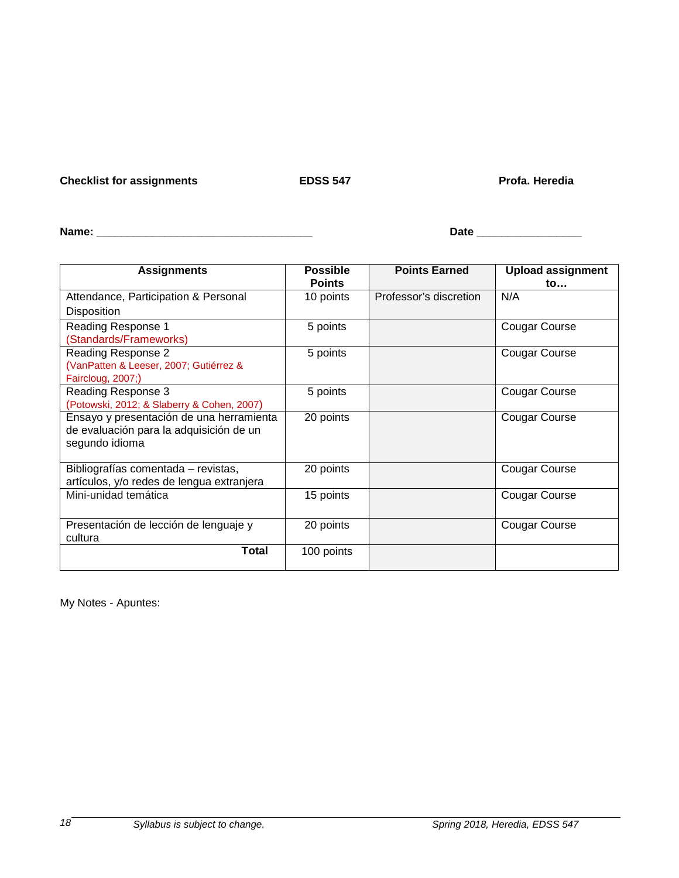**Checklist for assignments EDSS 547 Profa. Heredia** 

| <b>Name</b> | --- |
|-------------|-----|
| -------     | $-$ |

| <b>Assignments</b>                         | <b>Possible</b><br><b>Points</b> | <b>Points Earned</b>   | <b>Upload assignment</b><br>to |
|--------------------------------------------|----------------------------------|------------------------|--------------------------------|
| Attendance, Participation & Personal       | 10 points                        | Professor's discretion | N/A                            |
| <b>Disposition</b>                         |                                  |                        |                                |
| Reading Response 1                         | 5 points                         |                        | <b>Cougar Course</b>           |
| (Standards/Frameworks)                     |                                  |                        |                                |
| Reading Response 2                         | 5 points                         |                        | <b>Cougar Course</b>           |
| (VanPatten & Leeser, 2007; Gutiérrez &     |                                  |                        |                                |
| Faircloug, 2007;)                          |                                  |                        |                                |
| Reading Response 3                         | 5 points                         |                        | <b>Cougar Course</b>           |
| (Potowski, 2012; & Slaberry & Cohen, 2007) |                                  |                        |                                |
| Ensayo y presentación de una herramienta   | 20 points                        |                        | Cougar Course                  |
| de evaluación para la adquisición de un    |                                  |                        |                                |
| segundo idioma                             |                                  |                        |                                |
| Bibliografías comentada - revistas,        | 20 points                        |                        | <b>Cougar Course</b>           |
| artículos, y/o redes de lengua extranjera  |                                  |                        |                                |
| Mini-unidad temática                       | 15 points                        |                        | <b>Cougar Course</b>           |
|                                            |                                  |                        |                                |
| Presentación de lección de lenguaje y      | 20 points                        |                        | <b>Cougar Course</b>           |
| cultura                                    |                                  |                        |                                |
| <b>Total</b>                               | 100 points                       |                        |                                |

My Notes - Apuntes: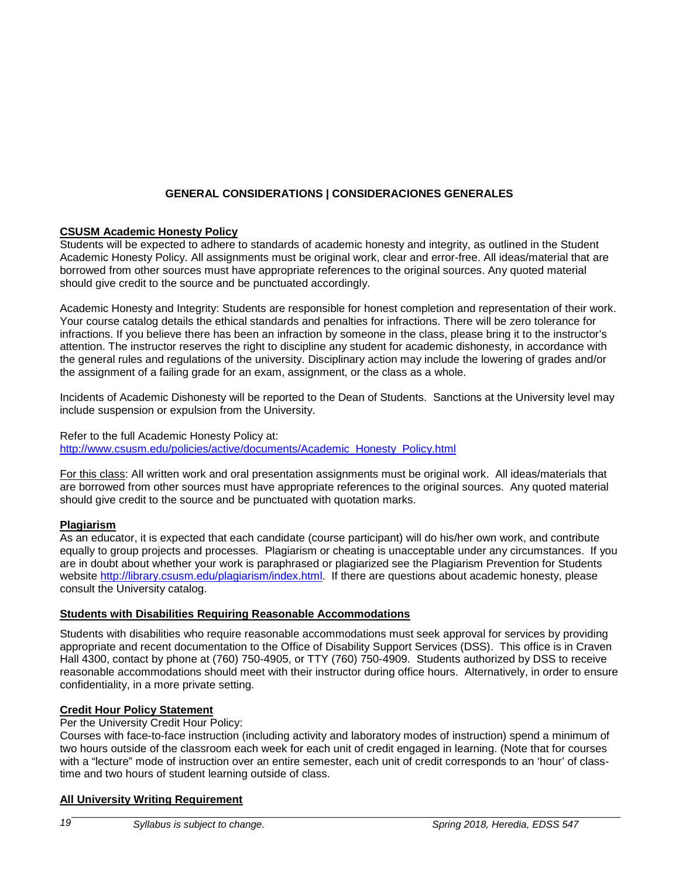# **GENERAL CONSIDERATIONS | CONSIDERACIONES GENERALES**

# **CSUSM Academic Honesty Policy**

Students will be expected to adhere to standards of academic honesty and integrity, as outlined in the Student Academic Honesty Policy. All assignments must be original work, clear and error-free. All ideas/material that are borrowed from other sources must have appropriate references to the original sources. Any quoted material should give credit to the source and be punctuated accordingly.

Academic Honesty and Integrity: Students are responsible for honest completion and representation of their work. Your course catalog details the ethical standards and penalties for infractions. There will be zero tolerance for infractions. If you believe there has been an infraction by someone in the class, please bring it to the instructor's attention. The instructor reserves the right to discipline any student for academic dishonesty, in accordance with the general rules and regulations of the university. Disciplinary action may include the lowering of grades and/or the assignment of a failing grade for an exam, assignment, or the class as a whole.

Incidents of Academic Dishonesty will be reported to the Dean of Students. Sanctions at the University level may include suspension or expulsion from the University.

Refer to the full Academic Honesty Policy at: [http://www.csusm.edu/policies/active/documents/Academic\\_Honesty\\_Policy.html](http://www.csusm.edu/policies/active/documents/Academic_Honesty_Policy.html)

For this class: All written work and oral presentation assignments must be original work. All ideas/materials that are borrowed from other sources must have appropriate references to the original sources. Any quoted material should give credit to the source and be punctuated with quotation marks.

# **Plagiarism**

As an educator, it is expected that each candidate (course participant) will do his/her own work, and contribute equally to group projects and processes. Plagiarism or cheating is unacceptable under any circumstances. If you are in doubt about whether your work is paraphrased or plagiarized see the Plagiarism Prevention for Students website [http://library.csusm.edu/plagiarism/index.html.](http://library.csusm.edu/plagiarism/index.html) If there are questions about academic honesty, please consult the University catalog.

### **Students with Disabilities Requiring Reasonable Accommodations**

Students with disabilities who require reasonable accommodations must seek approval for services by providing appropriate and recent documentation to the Office of Disability Support Services (DSS). This office is in Craven Hall 4300, contact by phone at (760) 750-4905, or TTY (760) 750-4909. Students authorized by DSS to receive reasonable accommodations should meet with their instructor during office hours. Alternatively, in order to ensure confidentiality, in a more private setting.

### **Credit Hour Policy Statement**

Per the University Credit Hour Policy:

Courses with face-to-face instruction (including activity and laboratory modes of instruction) spend a minimum of two hours outside of the classroom each week for each unit of credit engaged in learning. (Note that for courses with a "lecture" mode of instruction over an entire semester, each unit of credit corresponds to an 'hour' of classtime and two hours of student learning outside of class.

### **All University Writing Requirement**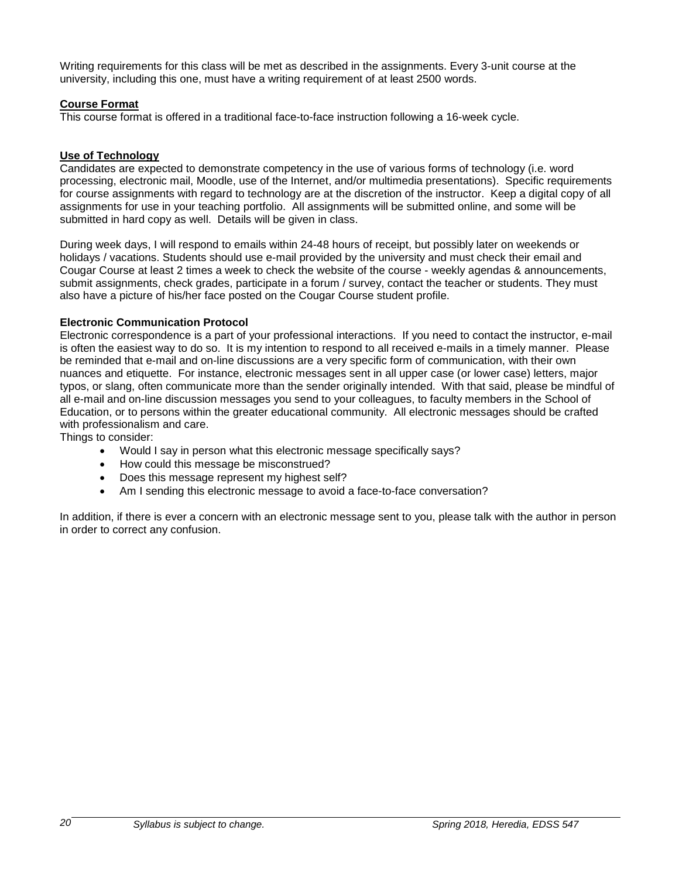Writing requirements for this class will be met as described in the assignments. Every 3-unit course at the university, including this one, must have a writing requirement of at least 2500 words.

# **Course Format**

This course format is offered in a traditional face-to-face instruction following a 16-week cycle.

# **Use of Technology**

Candidates are expected to demonstrate competency in the use of various forms of technology (i.e. word processing, electronic mail, Moodle, use of the Internet, and/or multimedia presentations). Specific requirements for course assignments with regard to technology are at the discretion of the instructor. Keep a digital copy of all assignments for use in your teaching portfolio. All assignments will be submitted online, and some will be submitted in hard copy as well. Details will be given in class.

During week days, I will respond to emails within 24-48 hours of receipt, but possibly later on weekends or holidays / vacations. Students should use e-mail provided by the university and must check their email and Cougar Course at least 2 times a week to check the website of the course - weekly agendas & announcements, submit assignments, check grades, participate in a forum / survey, contact the teacher or students. They must also have a picture of his/her face posted on the Cougar Course student profile.

# **Electronic Communication Protocol**

Electronic correspondence is a part of your professional interactions. If you need to contact the instructor, e-mail is often the easiest way to do so. It is my intention to respond to all received e-mails in a timely manner. Please be reminded that e-mail and on-line discussions are a very specific form of communication, with their own nuances and etiquette. For instance, electronic messages sent in all upper case (or lower case) letters, major typos, or slang, often communicate more than the sender originally intended. With that said, please be mindful of all e-mail and on-line discussion messages you send to your colleagues, to faculty members in the School of Education, or to persons within the greater educational community. All electronic messages should be crafted with professionalism and care.

Things to consider:

- Would I say in person what this electronic message specifically says?
- How could this message be misconstrued?
- Does this message represent my highest self?
- Am I sending this electronic message to avoid a face-to-face conversation?

In addition, if there is ever a concern with an electronic message sent to you, please talk with the author in person in order to correct any confusion.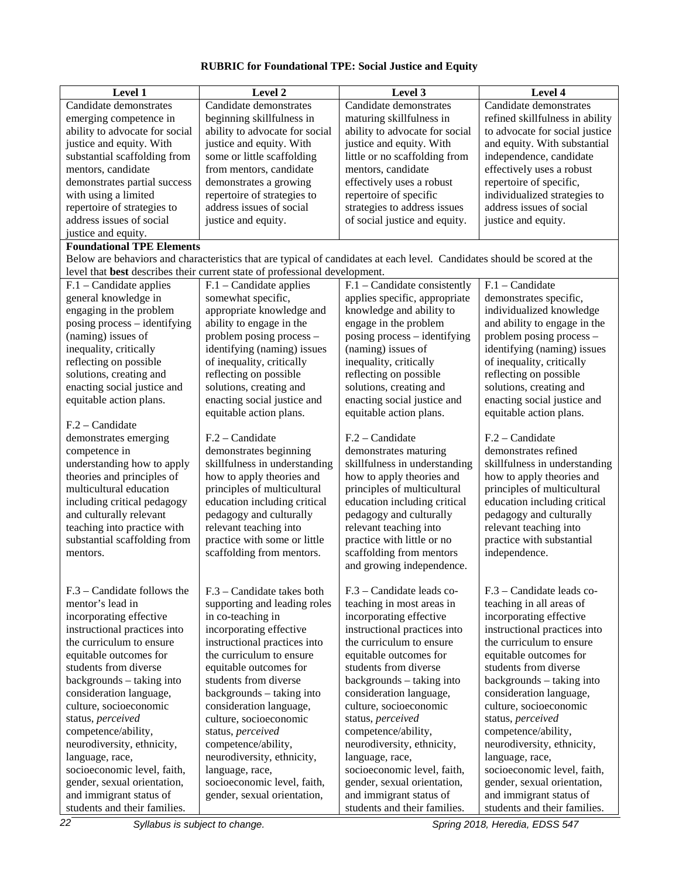# **RUBRIC for Foundational TPE: Social Justice and Equity**

| Level 1                          | Level 2                                                                    | Level 3                                                                                                                  | Level 4                         |
|----------------------------------|----------------------------------------------------------------------------|--------------------------------------------------------------------------------------------------------------------------|---------------------------------|
| Candidate demonstrates           | Candidate demonstrates                                                     | Candidate demonstrates                                                                                                   | Candidate demonstrates          |
| emerging competence in           | beginning skillfulness in                                                  | maturing skillfulness in                                                                                                 | refined skillfulness in ability |
| ability to advocate for social   | ability to advocate for social                                             | ability to advocate for social                                                                                           | to advocate for social justice  |
| justice and equity. With         | justice and equity. With                                                   | justice and equity. With                                                                                                 | and equity. With substantial    |
| substantial scaffolding from     | some or little scaffolding                                                 | little or no scaffolding from                                                                                            | independence, candidate         |
| mentors, candidate               | from mentors, candidate                                                    | mentors, candidate                                                                                                       | effectively uses a robust       |
| demonstrates partial success     | demonstrates a growing                                                     | effectively uses a robust                                                                                                | repertoire of specific,         |
| with using a limited             | repertoire of strategies to                                                | repertoire of specific                                                                                                   | individualized strategies to    |
| repertoire of strategies to      | address issues of social                                                   | strategies to address issues                                                                                             | address issues of social        |
| address issues of social         | justice and equity.                                                        | of social justice and equity.                                                                                            | justice and equity.             |
| justice and equity.              |                                                                            |                                                                                                                          |                                 |
| <b>Foundational TPE Elements</b> |                                                                            |                                                                                                                          |                                 |
|                                  |                                                                            | Below are behaviors and characteristics that are typical of candidates at each level. Candidates should be scored at the |                                 |
|                                  | level that best describes their current state of professional development. |                                                                                                                          |                                 |
| F.1 - Candidate applies          | $F.1$ – Candidate applies                                                  | $F.1$ – Candidate consistently                                                                                           | $F.1 - C$ andidate              |
| general knowledge in             | somewhat specific,                                                         | applies specific, appropriate                                                                                            | demonstrates specific,          |
| engaging in the problem          | appropriate knowledge and                                                  | knowledge and ability to                                                                                                 | individualized knowledge        |
| posing process – identifying     | ability to engage in the                                                   | engage in the problem                                                                                                    | and ability to engage in the    |
| (naming) issues of               | problem posing process -                                                   | posing process - identifying                                                                                             | problem posing process –        |
| inequality, critically           | identifying (naming) issues                                                | (naming) issues of                                                                                                       | identifying (naming) issues     |
| reflecting on possible           | of inequality, critically                                                  | inequality, critically                                                                                                   | of inequality, critically       |
| solutions, creating and          | reflecting on possible                                                     | reflecting on possible                                                                                                   | reflecting on possible          |
| enacting social justice and      | solutions, creating and                                                    | solutions, creating and                                                                                                  | solutions, creating and         |
| equitable action plans.          | enacting social justice and                                                | enacting social justice and                                                                                              | enacting social justice and     |
|                                  | equitable action plans.                                                    | equitable action plans.                                                                                                  | equitable action plans.         |
| F.2 - Candidate                  |                                                                            |                                                                                                                          |                                 |
| demonstrates emerging            | $F.2 - C$ andidate                                                         | $F.2 - C$ andidate                                                                                                       | $F.2 - C$ andidate              |
| competence in                    | demonstrates beginning                                                     | demonstrates maturing                                                                                                    | demonstrates refined            |
| understanding how to apply       | skillfulness in understanding                                              | skillfulness in understanding                                                                                            | skillfulness in understanding   |
| theories and principles of       | how to apply theories and                                                  | how to apply theories and                                                                                                | how to apply theories and       |
| multicultural education          | principles of multicultural                                                | principles of multicultural                                                                                              | principles of multicultural     |
| including critical pedagogy      | education including critical                                               | education including critical                                                                                             | education including critical    |
| and culturally relevant          | pedagogy and culturally                                                    | pedagogy and culturally                                                                                                  | pedagogy and culturally         |
| teaching into practice with      | relevant teaching into                                                     | relevant teaching into                                                                                                   | relevant teaching into          |
| substantial scaffolding from     | practice with some or little                                               | practice with little or no                                                                                               | practice with substantial       |
| mentors.                         | scaffolding from mentors.                                                  | scaffolding from mentors                                                                                                 | independence.                   |
|                                  |                                                                            | and growing independence.                                                                                                |                                 |
| F.3 – Candidate follows the      | F.3 – Candidate takes both                                                 | F.3 – Candidate leads co-                                                                                                | F.3 - Candidate leads co-       |
| mentor's lead in                 | supporting and leading roles                                               | teaching in most areas in                                                                                                | teaching in all areas of        |
| incorporating effective          | in co-teaching in                                                          | incorporating effective                                                                                                  | incorporating effective         |
| instructional practices into     | incorporating effective                                                    | instructional practices into                                                                                             | instructional practices into    |
| the curriculum to ensure         | instructional practices into                                               | the curriculum to ensure                                                                                                 | the curriculum to ensure        |
| equitable outcomes for           | the curriculum to ensure                                                   | equitable outcomes for                                                                                                   | equitable outcomes for          |
| students from diverse            | equitable outcomes for                                                     | students from diverse                                                                                                    | students from diverse           |
| backgrounds - taking into        | students from diverse                                                      | backgrounds - taking into                                                                                                | backgrounds - taking into       |
| consideration language,          | backgrounds - taking into                                                  | consideration language,                                                                                                  | consideration language,         |
| culture, socioeconomic           | consideration language,                                                    | culture, socioeconomic                                                                                                   | culture, socioeconomic          |
| status, perceived                | culture, socioeconomic                                                     | status, perceived                                                                                                        | status, perceived               |
| competence/ability,              | status, perceived                                                          | competence/ability,                                                                                                      | competence/ability,             |
| neurodiversity, ethnicity,       | competence/ability,                                                        | neurodiversity, ethnicity,                                                                                               | neurodiversity, ethnicity,      |
| language, race,                  | neurodiversity, ethnicity,                                                 | language, race,                                                                                                          | language, race,                 |
| socioeconomic level, faith,      | language, race,                                                            | socioeconomic level, faith,                                                                                              | socioeconomic level, faith,     |
| gender, sexual orientation,      | socioeconomic level, faith,                                                | gender, sexual orientation,                                                                                              | gender, sexual orientation,     |
| and immigrant status of          | gender, sexual orientation,                                                | and immigrant status of                                                                                                  | and immigrant status of         |
| students and their families.     |                                                                            | students and their families.                                                                                             | students and their families.    |